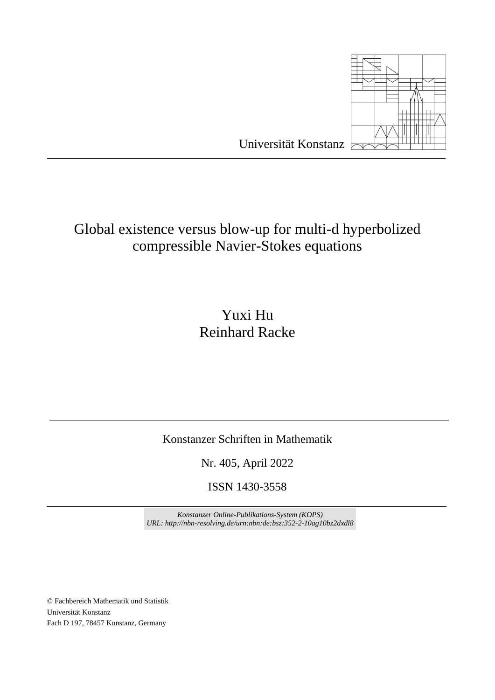

# Global existence versus blow-up for multi-d hyperbolized

## compressible Navier-Stokes equations

## Yuxi Hu Reinhard Racke

### Konstanzer Schriften in Mathematik

Nr. 405, April 2022

ISSN 1430-3558

*Konstanzer Online-Publikations-System (KOPS) URL: http://nbn-resolving.de/urn:nbn:de:bsz:352-2-10ag10bz2dxdl8*

© Fachbereich Mathematik und Statistik Universität Konstanz Fach D 197, 78457 Konstanz, Germany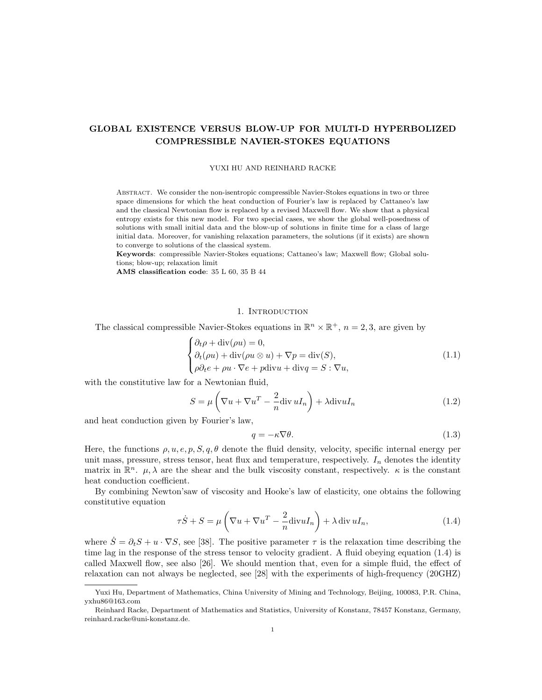#### GLOBAL EXISTENCE VERSUS BLOW-UP FOR MULTI-D HYPERBOLIZED COMPRESSIBLE NAVIER-STOKES EQUATIONS

#### YUXI HU AND REINHARD RACKE

Abstract. We consider the non-isentropic compressible Navier-Stokes equations in two or three space dimensions for which the heat conduction of Fourier's law is replaced by Cattaneo's law and the classical Newtonian flow is replaced by a revised Maxwell flow. We show that a physical entropy exists for this new model. For two special cases, we show the global well-posedness of solutions with small initial data and the blow-up of solutions in finite time for a class of large initial data. Moreover, for vanishing relaxation parameters, the solutions (if it exists) are shown to converge to solutions of the classical system.

Keywords: compressible Navier-Stokes equations; Cattaneo's law; Maxwell flow; Global solutions; blow-up; relaxation limit

AMS classification code: 35 L 60, 35 B 44

#### 1. INTRODUCTION

The classical compressible Navier-Stokes equations in  $\mathbb{R}^n \times \mathbb{R}^+$ ,  $n = 2, 3$ , are given by

$$
\begin{cases} \partial_t \rho + \operatorname{div}(\rho u) = 0, \\ \partial_t (\rho u) + \operatorname{div}(\rho u \otimes u) + \nabla p = \operatorname{div}(S), \\ \rho \partial_t e + \rho u \cdot \nabla e + p \operatorname{div} u + \operatorname{div} q = S : \nabla u, \end{cases}
$$
\n(1.1)

with the constitutive law for a Newtonian fluid,

$$
S = \mu \left( \nabla u + \nabla u^T - \frac{2}{n} \text{div} u I_n \right) + \lambda \text{div} u I_n \tag{1.2}
$$

and heat conduction given by Fourier's law,

$$
q = -\kappa \nabla \theta. \tag{1.3}
$$

Here, the functions  $\rho, u, e, p, S, q, \theta$  denote the fluid density, velocity, specific internal energy per unit mass, pressure, stress tensor, heat flux and temperature, respectively.  $I_n$  denotes the identity matrix in  $\mathbb{R}^n$ .  $\mu$ ,  $\lambda$  are the shear and the bulk viscosity constant, respectively.  $\kappa$  is the constant heat conduction coefficient.

By combining Newton'saw of viscosity and Hooke's law of elasticity, one obtains the following constitutive equation

$$
\tau \dot{S} + S = \mu \left( \nabla u + \nabla u^T - \frac{2}{n} \text{div} u I_n \right) + \lambda \text{div } u I_n,
$$
\n(1.4)

where  $\dot{S} = \partial_t S + u \cdot \nabla S$ , see [38]. The positive parameter  $\tau$  is the relaxation time describing the time lag in the response of the stress tensor to velocity gradient. A fluid obeying equation (1.4) is called Maxwell flow, see also [26]. We should mention that, even for a simple fluid, the effect of relaxation can not always be neglected, see [28] with the experiments of high-frequency (20GHZ)

Yuxi Hu, Department of Mathematics, China University of Mining and Technology, Beijing, 100083, P.R. China, yxhu86@163.com

Reinhard Racke, Department of Mathematics and Statistics, University of Konstanz, 78457 Konstanz, Germany, reinhard.racke@uni-konstanz.de.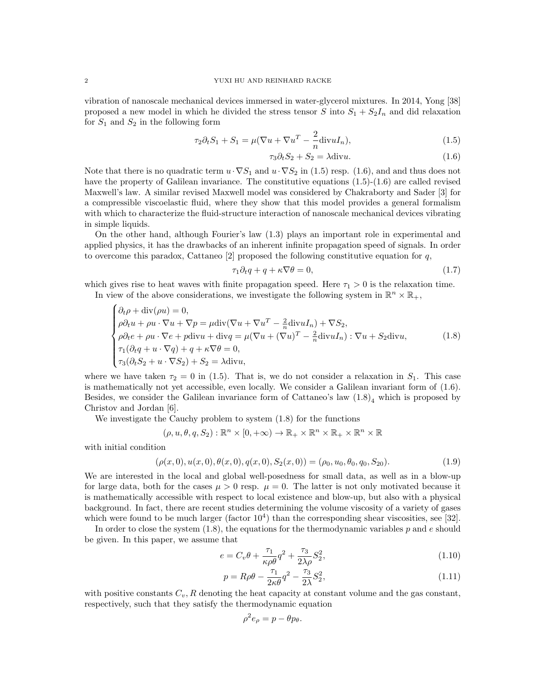vibration of nanoscale mechanical devices immersed in water-glycerol mixtures. In 2014, Yong [38] proposed a new model in which he divided the stress tensor S into  $S_1 + S_2I_n$  and did relaxation for  $S_1$  and  $S_2$  in the following form

$$
\tau_2 \partial_t S_1 + S_1 = \mu (\nabla u + \nabla u^T - \frac{2}{n} \text{div} u I_n), \qquad (1.5)
$$

$$
\tau_3 \partial_t S_2 + S_2 = \lambda \text{div} u. \tag{1.6}
$$

Note that there is no quadratic term  $u \cdot \nabla S_1$  and  $u \cdot \nabla S_2$  in (1.5) resp. (1.6), and and thus does not have the property of Galilean invariance. The constitutive equations  $(1.5)-(1.6)$  are called revised Maxwell's law. A similar revised Maxwell model was considered by Chakraborty and Sader [3] for a compressible viscoelastic fluid, where they show that this model provides a general formalism with which to characterize the fluid-structure interaction of nanoscale mechanical devices vibrating in simple liquids.

On the other hand, although Fourier's law (1.3) plays an important role in experimental and applied physics, it has the drawbacks of an inherent infinite propagation speed of signals. In order to overcome this paradox, Cattaneo  $[2]$  proposed the following constitutive equation for q,

$$
\tau_1 \partial_t q + q + \kappa \nabla \theta = 0,\tag{1.7}
$$

which gives rise to heat waves with finite propagation speed. Here  $\tau_1 > 0$  is the relaxation time.

In view of the above considerations, we investigate the following system in  $\mathbb{R}^n \times \mathbb{R}_+$ ,

$$
\begin{cases}\n\partial_t \rho + \text{div}(\rho u) = 0, \\
\rho \partial_t u + \rho u \cdot \nabla u + \nabla p = \mu \text{div}(\nabla u + \nabla u^T - \frac{2}{n} \text{div} u I_n) + \nabla S_2, \\
\rho \partial_t e + \rho u \cdot \nabla e + p \text{div} u + \text{div} q = \mu (\nabla u + (\nabla u)^T - \frac{2}{n} \text{div} u I_n) : \nabla u + S_2 \text{div} u, \\
\tau_1 (\partial_t q + u \cdot \nabla q) + q + \kappa \nabla \theta = 0, \\
\tau_3 (\partial_t S_2 + u \cdot \nabla S_2) + S_2 = \lambda \text{div} u,\n\end{cases} (1.8)
$$

where we have taken  $\tau_2 = 0$  in (1.5). That is, we do not consider a relaxation in  $S_1$ . This case is mathematically not yet accessible, even locally. We consider a Galilean invariant form of (1.6). Besides, we consider the Galilean invariance form of Cattaneo's law  $(1.8)<sub>4</sub>$  which is proposed by Christov and Jordan [6].

We investigate the Cauchy problem to system (1.8) for the functions

$$
(\rho, u, \theta, q, S_2) : \mathbb{R}^n \times [0, +\infty) \to \mathbb{R}_+ \times \mathbb{R}^n \times \mathbb{R}_+ \times \mathbb{R}^n \times \mathbb{R}
$$

with initial condition

$$
(\rho(x,0), u(x,0), \theta(x,0), q(x,0), S_2(x,0)) = (\rho_0, u_0, \theta_0, q_0, S_{20}).
$$
\n(1.9)

We are interested in the local and global well-posedness for small data, as well as in a blow-up for large data, both for the cases  $\mu > 0$  resp.  $\mu = 0$ . The latter is not only motivated because it is mathematically accessible with respect to local existence and blow-up, but also with a physical background. In fact, there are recent studies determining the volume viscosity of a variety of gases which were found to be much larger (factor  $10<sup>4</sup>$ ) than the corresponding shear viscosities, see [32].

In order to close the system  $(1.8)$ , the equations for the thermodynamic variables p and e should be given. In this paper, we assume that

$$
e = C_v \theta + \frac{\tau_1}{\kappa \rho \theta} q^2 + \frac{\tau_3}{2\lambda \rho} S_2^2,
$$
\n(1.10)

$$
p = R\rho\theta - \frac{\tau_1}{2\kappa\theta}q^2 - \frac{\tau_3}{2\lambda}S_2^2,
$$
\n(1.11)

with positive constants  $C_v$ , R denoting the heat capacity at constant volume and the gas constant, respectively, such that they satisfy the thermodynamic equation

$$
\rho^2 e_\rho = p - \theta p_\theta.
$$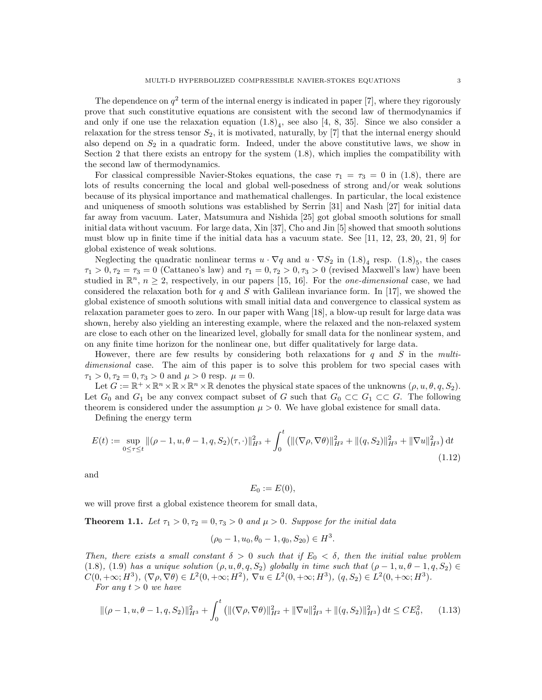The dependence on  $q^2$  term of the internal energy is indicated in paper [7], where they rigorously prove that such constitutive equations are consistent with the second law of thermodynamics if and only if one use the relaxation equation  $(1.8)_4$ , see also [4, 8, 35]. Since we also consider a relaxation for the stress tensor  $S_2$ , it is motivated, naturally, by [7] that the internal energy should also depend on  $S_2$  in a quadratic form. Indeed, under the above constitutive laws, we show in Section 2 that there exists an entropy for the system (1.8), which implies the compatibility with the second law of thermodynamics.

For classical compressible Navier-Stokes equations, the case  $\tau_1 = \tau_3 = 0$  in (1.8), there are lots of results concerning the local and global well-posedness of strong and/or weak solutions because of its physical importance and mathematical challenges. In particular, the local existence and uniqueness of smooth solutions was established by Serrin [31] and Nash [27] for initial data far away from vacuum. Later, Matsumura and Nishida [25] got global smooth solutions for small initial data without vacuum. For large data, Xin [37], Cho and Jin [5] showed that smooth solutions must blow up in finite time if the initial data has a vacuum state. See [11, 12, 23, 20, 21, 9] for global existence of weak solutions.

Neglecting the quadratic nonlinear terms  $u \cdot \nabla q$  and  $u \cdot \nabla S_2$  in  $(1.8)_4$  resp.  $(1.8)_5$ , the cases  $\tau_1 > 0, \tau_2 = \tau_3 = 0$  (Cattaneo's law) and  $\tau_1 = 0, \tau_2 > 0, \tau_3 > 0$  (revised Maxwell's law) have been studied in  $\mathbb{R}^n$ ,  $n \geq 2$ , respectively, in our papers [15, 16]. For the *one-dimensional* case, we had considered the relaxation both for q and S with Galilean invariance form. In [17], we showed the global existence of smooth solutions with small initial data and convergence to classical system as relaxation parameter goes to zero. In our paper with Wang [18], a blow-up result for large data was shown, hereby also yielding an interesting example, where the relaxed and the non-relaxed system are close to each other on the linearized level, globally for small data for the nonlinear system, and on any finite time horizon for the nonlinear one, but differ qualitatively for large data.

However, there are few results by considering both relaxations for q and S in the multidimensional case. The aim of this paper is to solve this problem for two special cases with  $\tau_1 > 0, \tau_2 = 0, \tau_3 > 0$  and  $\mu > 0$  resp.  $\mu = 0$ .

Let  $G := \mathbb{R}^+ \times \mathbb{R}^n \times \mathbb{R} \times \mathbb{R}^n \times \mathbb{R}$  denotes the physical state spaces of the unknowns  $(\rho, u, \theta, q, S_2)$ . Let  $G_0$  and  $G_1$  be any convex compact subset of G such that  $G_0 \subset\subset G_1 \subset\subset G$ . The following theorem is considered under the assumption  $\mu > 0$ . We have global existence for small data.

Defining the energy term

$$
E(t) := \sup_{0 \le \tau \le t} \| (\rho - 1, u, \theta - 1, q, S_2)(\tau, \cdot) \|_{H^3}^2 + \int_0^t \left( \| (\nabla \rho, \nabla \theta) \|_{H^2}^2 + \| (q, S_2) \|_{H^3}^2 + \| \nabla u \|_{H^3}^2 \right) dt
$$
\n(1.12)

and

$$
E_0 := E(0),
$$

we will prove first a global existence theorem for small data,

**Theorem 1.1.** Let  $\tau_1 > 0, \tau_2 = 0, \tau_3 > 0$  and  $\mu > 0$ . Suppose for the initial data

$$
(\rho_0 - 1, u_0, \theta_0 - 1, q_0, S_{20}) \in H^3.
$$

Then, there exists a small constant  $\delta > 0$  such that if  $E_0 < \delta$ , then the initial value problem (1.8), (1.9) has a unique solution  $(\rho, u, \theta, q, S_2)$  globally in time such that  $(\rho - 1, u, \theta - 1, q, S_2) \in$  $C(0, +\infty; H^3), (\nabla \rho, \nabla \theta) \in L^2(0, +\infty; H^2), \nabla u \in L^2(0, +\infty; H^3), (q, S_2) \in L^2(0, +\infty; H^3).$ 

For any  $t > 0$  we have

$$
\|(\rho - 1, u, \theta - 1, q, S_2)\|_{H^3}^2 + \int_0^t \left( \|(\nabla \rho, \nabla \theta)\|_{H^2}^2 + \|\nabla u\|_{H^3}^2 + \|(q, S_2)\|_{H^3}^2 \right) dt \leq CE_0^2,
$$
 (1.13)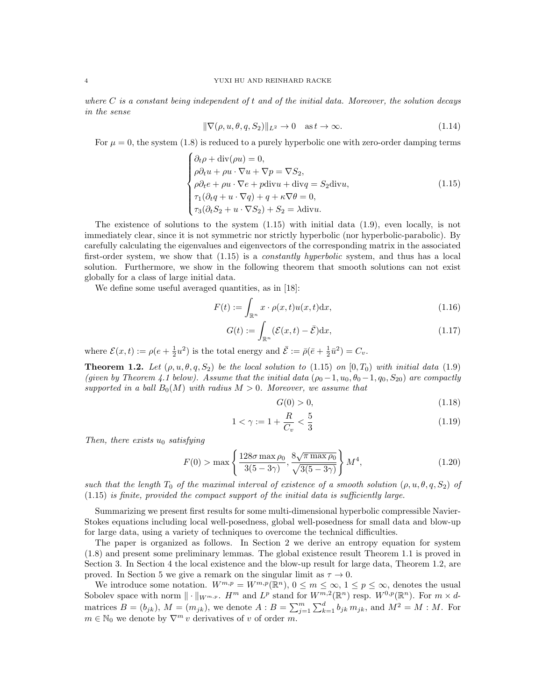where  $C$  is a constant being independent of t and of the initial data. Moreover, the solution decays in the sense

$$
\|\nabla(\rho, u, \theta, q, S_2)\|_{L^2} \to 0 \quad \text{as } t \to \infty.
$$
\n(1.14)

For  $\mu = 0$ , the system (1.8) is reduced to a purely hyperbolic one with zero-order damping terms

$$
\begin{cases}\n\partial_t \rho + \text{div}(\rho u) = 0, \\
\rho \partial_t u + \rho u \cdot \nabla u + \nabla p = \nabla S_2, \\
\rho \partial_t e + \rho u \cdot \nabla e + p \text{div} u + \text{div} q = S_2 \text{div} u, \\
\tau_1 (\partial_t q + u \cdot \nabla q) + q + \kappa \nabla \theta = 0, \\
\tau_3 (\partial_t S_2 + u \cdot \nabla S_2) + S_2 = \lambda \text{div} u.\n\end{cases}
$$
\n(1.15)

The existence of solutions to the system (1.15) with initial data (1.9), even locally, is not immediately clear, since it is not symmetric nor strictly hyperbolic (nor hyperbolic-parabolic). By carefully calculating the eigenvalues and eigenvectors of the corresponding matrix in the associated first-order system, we show that  $(1.15)$  is a *constantly hyperbolic* system, and thus has a local solution. Furthermore, we show in the following theorem that smooth solutions can not exist globally for a class of large initial data.

We define some useful averaged quantities, as in [18]:

$$
F(t) := \int_{\mathbb{R}^n} x \cdot \rho(x, t) u(x, t) \mathrm{d}x,\tag{1.16}
$$

$$
G(t) := \int_{\mathbb{R}^n} (\mathcal{E}(x, t) - \bar{\mathcal{E}}) dx,
$$
\n(1.17)

where  $\mathcal{E}(x,t) := \rho(e + \frac{1}{2}u^2)$  is the total energy and  $\overline{\mathcal{E}} := \overline{\rho}(\overline{e} + \frac{1}{2}\overline{u}^2) = C_v$ .

**Theorem 1.2.** Let  $(\rho, u, \theta, q, S_2)$  be the local solution to  $(1.15)$  on  $[0, T_0)$  with initial data  $(1.9)$ (given by Theorem 4.1 below). Assume that the initial data  $(\rho_0-1, u_0, \theta_0-1, q_0, S_{20})$  are compactly supported in a ball  $B_0(M)$  with radius  $M > 0$ . Moreover, we assume that

$$
G(0) > 0,\tag{1.18}
$$

$$
1 < \gamma := 1 + \frac{R}{C_v} < \frac{5}{3} \tag{1.19}
$$

Then, there exists  $u_0$  satisfying

$$
F(0) > \max\left\{\frac{128\sigma \max\rho_0}{3(5-3\gamma)}, \frac{8\sqrt{\pi \max\rho_0}}{\sqrt{3(5-3\gamma)}}\right\} M^4,\tag{1.20}
$$

such that the length  $T_0$  of the maximal interval of existence of a smooth solution  $(\rho, u, \theta, q, S_2)$  of (1.15) is finite, provided the compact support of the initial data is sufficiently large.

Summarizing we present first results for some multi-dimensional hyperbolic compressible Navier-Stokes equations including local well-posedness, global well-posedness for small data and blow-up for large data, using a variety of techniques to overcome the technical difficulties.

The paper is organized as follows. In Section 2 we derive an entropy equation for system (1.8) and present some preliminary lemmas. The global existence result Theorem 1.1 is proved in Section 3. In Section 4 the local existence and the blow-up result for large data, Theorem 1.2, are proved. In Section 5 we give a remark on the singular limit as  $\tau \to 0$ .

We introduce some notation.  $W^{m,p} = W^{m,p}(\mathbb{R}^n)$ ,  $0 \leq m \leq \infty$ ,  $1 \leq p \leq \infty$ , denotes the usual Sobolev space with norm  $\|\cdot\|_{W^{m,p}}$ .  $H^m$  and  $L^p$  stand for  $W^{m,2}(\mathbb{R}^n)$  resp.  $W^{0,p}(\mathbb{R}^n)$ . For  $m \times d$ matrices  $B = (b_{jk})$ ,  $M = (m_{jk})$ , we denote  $A : B = \sum_{j=1}^{m} \sum_{k=1}^{d} b_{jk} m_{jk}$ , and  $M^2 = M : M$ . For  $m \in \mathbb{N}_0$  we denote by  $\nabla^m v$  derivatives of v of order m.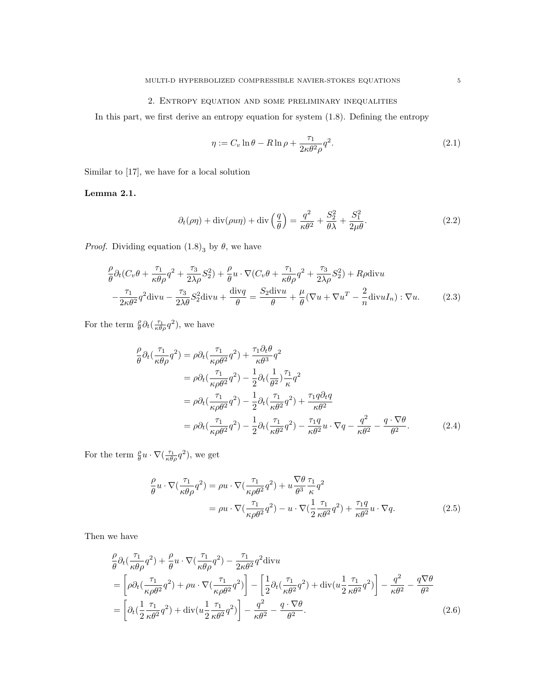#### 2. Entropy equation and some preliminary inequalities

In this part, we first derive an entropy equation for system (1.8). Defining the entropy

$$
\eta := C_v \ln \theta - R \ln \rho + \frac{\tau_1}{2\kappa \theta^2 \rho} q^2.
$$
\n(2.1)

Similar to [17], we have for a local solution

Lemma 2.1.

$$
\partial_t(\rho \eta) + \text{div}(\rho u \eta) + \text{div}\left(\frac{q}{\theta}\right) = \frac{q^2}{\kappa \theta^2} + \frac{S_2^2}{\theta \lambda} + \frac{S_1^2}{2\mu \theta}.
$$
 (2.2)

*Proof.* Dividing equation  $(1.8)$ <sub>3</sub> by  $\theta$ , we have

$$
\frac{\rho}{\theta}\partial_t(C_v\theta + \frac{\tau_1}{\kappa\theta\rho}q^2 + \frac{\tau_3}{2\lambda\rho}S_2^2) + \frac{\rho}{\theta}u \cdot \nabla(C_v\theta + \frac{\tau_1}{\kappa\theta\rho}q^2 + \frac{\tau_3}{2\lambda\rho}S_2^2) + R\rho \text{div}u \n- \frac{\tau_1}{2\kappa\theta^2}q^2 \text{div}u - \frac{\tau_3}{2\lambda\theta}S_2^2 \text{div}u + \frac{\text{div}q}{\theta} = \frac{S_2 \text{div}u}{\theta} + \frac{\mu}{\theta}(\nabla u + \nabla u^T - \frac{2}{n}\text{div}uI_n) : \nabla u.
$$
\n(2.3)

For the term  $\frac{\rho}{\theta} \partial_t \left( \frac{\tau_1}{\kappa \theta \rho} q^2 \right)$ , we have

$$
\frac{\rho}{\theta} \partial_t \left( \frac{\tau_1}{\kappa \theta \rho} q^2 \right) = \rho \partial_t \left( \frac{\tau_1}{\kappa \rho \theta^2} q^2 \right) + \frac{\tau_1 \partial_t \theta}{\kappa \theta^3} q^2
$$
\n
$$
= \rho \partial_t \left( \frac{\tau_1}{\kappa \rho \theta^2} q^2 \right) - \frac{1}{2} \partial_t \left( \frac{1}{\theta^2} \right) \frac{\tau_1}{\kappa} q^2
$$
\n
$$
= \rho \partial_t \left( \frac{\tau_1}{\kappa \rho \theta^2} q^2 \right) - \frac{1}{2} \partial_t \left( \frac{\tau_1}{\kappa \theta^2} q^2 \right) + \frac{\tau_1 q \partial_t q}{\kappa \theta^2}
$$
\n
$$
= \rho \partial_t \left( \frac{\tau_1}{\kappa \rho \theta^2} q^2 \right) - \frac{1}{2} \partial_t \left( \frac{\tau_1}{\kappa \theta^2} q^2 \right) - \frac{\tau_1 q}{\kappa \theta^2} u \cdot \nabla q - \frac{q^2}{\kappa \theta^2} - \frac{q \cdot \nabla \theta}{\theta^2}.
$$
\n(2.4)

For the term  $\frac{\rho}{\theta}u \cdot \nabla(\frac{\tau_1}{\kappa \theta \rho}q^2)$ , we get

$$
\frac{\rho}{\theta}u \cdot \nabla \left(\frac{\tau_1}{\kappa \theta \rho}q^2\right) = \rho u \cdot \nabla \left(\frac{\tau_1}{\kappa \rho \theta^2}q^2\right) + u \frac{\nabla \theta}{\theta^3} \frac{\tau_1}{\kappa}q^2
$$
\n
$$
= \rho u \cdot \nabla \left(\frac{\tau_1}{\kappa \rho \theta^2}q^2\right) - u \cdot \nabla \left(\frac{1}{2} \frac{\tau_1}{\kappa \theta^2}q^2\right) + \frac{\tau_1 q}{\kappa \theta^2}u \cdot \nabla q. \tag{2.5}
$$

Then we have

$$
\frac{\rho}{\theta} \partial_t \left( \frac{\tau_1}{\kappa \theta \rho} q^2 \right) + \frac{\rho}{\theta} u \cdot \nabla \left( \frac{\tau_1}{\kappa \theta \rho} q^2 \right) - \frac{\tau_1}{2 \kappa \theta^2} q^2 \text{div} u
$$
\n
$$
= \left[ \rho \partial_t \left( \frac{\tau_1}{\kappa \rho \theta^2} q^2 \right) + \rho u \cdot \nabla \left( \frac{\tau_1}{\kappa \rho \theta^2} q^2 \right) \right] - \left[ \frac{1}{2} \partial_t \left( \frac{\tau_1}{\kappa \theta^2} q^2 \right) + \text{div} \left( u \frac{1}{2} \frac{\tau_1}{\kappa \theta^2} q^2 \right) \right] - \frac{q^2}{\kappa \theta^2} - \frac{q \nabla \theta}{\theta^2}
$$
\n
$$
= \left[ \partial_t \left( \frac{1}{2} \frac{\tau_1}{\kappa \theta^2} q^2 \right) + \text{div} \left( u \frac{1}{2} \frac{\tau_1}{\kappa \theta^2} q^2 \right) \right] - \frac{q^2}{\kappa \theta^2} - \frac{q \cdot \nabla \theta}{\theta^2}.
$$
\n(2.6)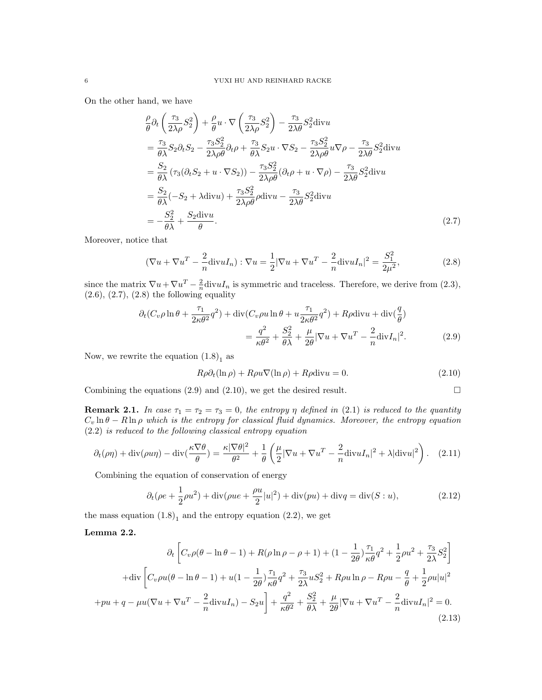On the other hand, we have

$$
\frac{\rho}{\theta}\partial_t\left(\frac{\tau_3}{2\lambda\rho}S_2^2\right) + \frac{\rho}{\theta}u \cdot \nabla\left(\frac{\tau_3}{2\lambda\rho}S_2^2\right) - \frac{\tau_3}{2\lambda\theta}S_2^2 \text{div}u
$$
\n
$$
= \frac{\tau_3}{\theta\lambda}S_2\partial_tS_2 - \frac{\tau_3S_2^2}{2\lambda\rho\theta}\partial_t\rho + \frac{\tau_3}{\theta\lambda}S_2u \cdot \nabla S_2 - \frac{\tau_3S_2^2}{2\lambda\rho\theta}u\nabla\rho - \frac{\tau_3}{2\lambda\theta}S_2^2 \text{div}u
$$
\n
$$
= \frac{S_2}{\theta\lambda}\left(\tau_3(\partial_tS_2 + u \cdot \nabla S_2)\right) - \frac{\tau_3S_2^2}{2\lambda\rho\theta}(\partial_t\rho + u \cdot \nabla\rho) - \frac{\tau_3}{2\lambda\theta}S_2^2 \text{div}u
$$
\n
$$
= \frac{S_2}{\theta\lambda}(-S_2 + \lambda \text{div}u) + \frac{\tau_3S_2^2}{2\lambda\rho\theta}\rho \text{div}u - \frac{\tau_3}{2\lambda\theta}S_2^2 \text{div}u
$$
\n
$$
= -\frac{S_2^2}{\theta\lambda} + \frac{S_2 \text{div}u}{\theta}.
$$
\n(2.7)

Moreover, notice that

$$
(\nabla u + \nabla u^T - \frac{2}{n} \text{div} u I_n) : \nabla u = \frac{1}{2} |\nabla u + \nabla u^T - \frac{2}{n} \text{div} u I_n|^2 = \frac{S_1^2}{2\mu^2},
$$
\n(2.8)

since the matrix  $\nabla u + \nabla u^T - \frac{2}{n} \text{div} u I_n$  is symmetric and traceless. Therefore, we derive from (2.3),  $(2.6), (2.7), (2.8)$  the following equality

$$
\partial_t (C_v \rho \ln \theta + \frac{\tau_1}{2\kappa \theta^2} q^2) + \text{div}(C_v \rho u \ln \theta + u \frac{\tau_1}{2\kappa \theta^2} q^2) + R\rho \text{div} u + \text{div}(\frac{q}{\theta})
$$
  
= 
$$
\frac{q^2}{\kappa \theta^2} + \frac{S_2^2}{\theta \lambda} + \frac{\mu}{2\theta} |\nabla u + \nabla u^T - \frac{2}{n} \text{div} I_n|^2.
$$
 (2.9)

Now, we rewrite the equation  $(1.8)<sub>1</sub>$  as

$$
R\rho \partial_t(\ln \rho) + R\rho u \nabla(\ln \rho) + R\rho \text{div} u = 0. \qquad (2.10)
$$

Combining the equations (2.9) and (2.10), we get the desired result.  $\Box$ 

**Remark 2.1.** In case  $\tau_1 = \tau_2 = \tau_3 = 0$ , the entropy  $\eta$  defined in (2.1) is reduced to the quantity  $C_v \ln \theta - R \ln \rho$  which is the entropy for classical fluid dynamics. Moreover, the entropy equation (2.2) is reduced to the following classical entropy equation

$$
\partial_t(\rho \eta) + \text{div}(\rho u \eta) - \text{div}(\frac{\kappa \nabla \theta}{\theta}) = \frac{\kappa |\nabla \theta|^2}{\theta^2} + \frac{1}{\theta} \left( \frac{\mu}{2} |\nabla u + \nabla u^T - \frac{2}{n} \text{div} u I_n|^2 + \lambda |\text{div} u|^2 \right). \tag{2.11}
$$

Combining the equation of conservation of energy

$$
\partial_t (\rho e + \frac{1}{2}\rho u^2) + \text{div}(\rho u e + \frac{\rho u}{2}|u|^2) + \text{div}(pu) + \text{div}q = \text{div}(S:u),\tag{2.12}
$$

the mass equation  $(1.8)<sub>1</sub>$  and the entropy equation  $(2.2)$ , we get

#### Lemma 2.2.

$$
\partial_t \left[ C_v \rho (\theta - \ln \theta - 1) + R(\rho \ln \rho - \rho + 1) + (1 - \frac{1}{2\theta}) \frac{\tau_1}{\kappa \theta} q^2 + \frac{1}{2} \rho u^2 + \frac{\tau_3}{2\lambda} S_2^2 \right]
$$
  
+
$$
\text{div} \left[ C_v \rho u (\theta - \ln \theta - 1) + u (1 - \frac{1}{2\theta}) \frac{\tau_1}{\kappa \theta} q^2 + \frac{\tau_3}{2\lambda} u S_2^2 + R \rho u \ln \rho - R \rho u - \frac{q}{\theta} + \frac{1}{2} \rho u |u|^2
$$
  
+
$$
p u + q - \mu u (\nabla u + \nabla u^T - \frac{2}{n} \text{div} u I_n) - S_2 u \right] + \frac{q^2}{\kappa \theta^2} + \frac{S_2^2}{\theta \lambda} + \frac{\mu}{2\theta} |\nabla u + \nabla u^T - \frac{2}{n} \text{div} u I_n|^2 = 0. \tag{2.13}
$$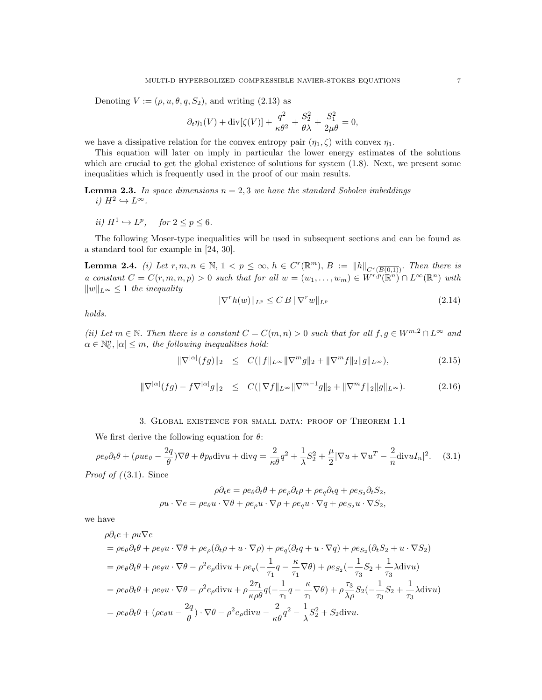Denoting  $V := (\rho, u, \theta, q, S_2)$ , and writing (2.13) as

$$
\partial_t \eta_1(V) + \text{div}[\zeta(V)] + \frac{q^2}{\kappa \theta^2} + \frac{S_2^2}{\theta \lambda} + \frac{S_1^2}{2\mu \theta} = 0,
$$

we have a dissipative relation for the convex entropy pair  $(\eta_1, \zeta)$  with convex  $\eta_1$ .

This equation will later on imply in particular the lower energy estimates of the solutions which are crucial to get the global existence of solutions for system  $(1.8)$ . Next, we present some inequalities which is frequently used in the proof of our main results.

**Lemma 2.3.** In space dimensions  $n = 2, 3$  we have the standard Sobolev imbeddings i)  $H^2 \hookrightarrow L^{\infty}$ .

ii)  $H^1 \hookrightarrow L^p$ , for  $2 \le p \le 6$ .

The following Moser-type inequalities will be used in subsequent sections and can be found as a standard tool for example in [24, 30].

**Lemma 2.4.** (i) Let  $r, m, n \in \mathbb{N}$ ,  $1 < p \leq \infty$ ,  $h \in C^{r}(\mathbb{R}^{m})$ ,  $B := ||h||_{C^{r}(\overline{B(0,1)})}$ . Then there is a constant  $C = C(r, m, n, p) > 0$  such that for all  $w = (w_1, \ldots, w_m) \in W^{r, p}(\mathbb{R}^n) \cap L^{\infty}(\mathbb{R}^n)$  with  $||w||_{L^{\infty}} \leq 1$  the inequality

$$
\|\nabla^r h(w)\|_{L^p} \le C \, B \, \|\nabla^r w\|_{L^p} \tag{2.14}
$$

holds.

(ii) Let  $m \in \mathbb{N}$ . Then there is a constant  $C = C(m, n) > 0$  such that for all  $f, g \in W^{m, 2} \cap L^{\infty}$  and  $\alpha \in \mathbb{N}_0^n, |\alpha| \leq m$ , the following inequalities hold:

$$
\|\nabla^{|\alpha|}(fg)\|_2 \le C(\|f\|_{L^\infty} \|\nabla^m g\|_2 + \|\nabla^m f\|_2 \|g\|_{L^\infty}), \tag{2.15}
$$

$$
\|\nabla^{|\alpha|}(fg) - f\nabla^{|\alpha|}g\|_2 \le C(\|\nabla f\|_{L^\infty} \|\nabla^{m-1}g\|_2 + \|\nabla^m f\|_2 \|g\|_{L^\infty}).\tag{2.16}
$$

#### 3. Global existence for small data: proof of Theorem 1.1

We first derive the following equation for  $\theta$ :

$$
\rho e_{\theta} \partial_t \theta + (\rho u e_{\theta} - \frac{2q}{\theta}) \nabla \theta + \theta p_{\theta} \text{div} u + \text{div} q = \frac{2}{\kappa \theta} q^2 + \frac{1}{\lambda} S_2^2 + \frac{\mu}{2} |\nabla u + \nabla u^T - \frac{2}{n} \text{div} u I_n|^2. \tag{3.1}
$$

*Proof of* 
$$
((3.1)
$$
. Since

$$
\rho \partial_t e = \rho e_\theta \partial_t \theta + \rho e_\rho \partial_t \rho + \rho e_q \partial_t q + \rho e_{S_2} \partial_t S_2,
$$
  

$$
\rho u \cdot \nabla e = \rho e_\theta u \cdot \nabla \theta + \rho e_\rho u \cdot \nabla \rho + \rho e_q u \cdot \nabla q + \rho e_{S_2} u \cdot \nabla S_2,
$$

we have

$$
\rho \partial_t e + \rho u \nabla e
$$
  
=  $\rho e_\theta \partial_t \theta + \rho e_\theta u \cdot \nabla \theta + \rho e_\rho (\partial_t \rho + u \cdot \nabla \rho) + \rho e_q (\partial_t q + u \cdot \nabla q) + \rho e_{S_2} (\partial_t S_2 + u \cdot \nabla S_2)$   
=  $\rho e_\theta \partial_t \theta + \rho e_\theta u \cdot \nabla \theta - \rho^2 e_\rho \text{div} u + \rho e_q (-\frac{1}{\tau_1} q - \frac{\kappa}{\tau_1} \nabla \theta) + \rho e_{S_2} (-\frac{1}{\tau_3} S_2 + \frac{1}{\tau_3} \lambda \text{div} u)$   
=  $\rho e_\theta \partial_t \theta + \rho e_\theta u \cdot \nabla \theta - \rho^2 e_\rho \text{div} u + \rho \frac{2\tau_1}{\kappa \rho \theta} q (-\frac{1}{\tau_1} q - \frac{\kappa}{\tau_1} \nabla \theta) + \rho \frac{\tau_3}{\lambda \rho} S_2 (-\frac{1}{\tau_3} S_2 + \frac{1}{\tau_3} \lambda \text{div} u)$   
=  $\rho e_\theta \partial_t \theta + (\rho e_\theta u - \frac{2q}{\theta}) \cdot \nabla \theta - \rho^2 e_\rho \text{div} u - \frac{2}{\kappa \theta} q^2 - \frac{1}{\lambda} S_2^2 + S_2 \text{div} u.$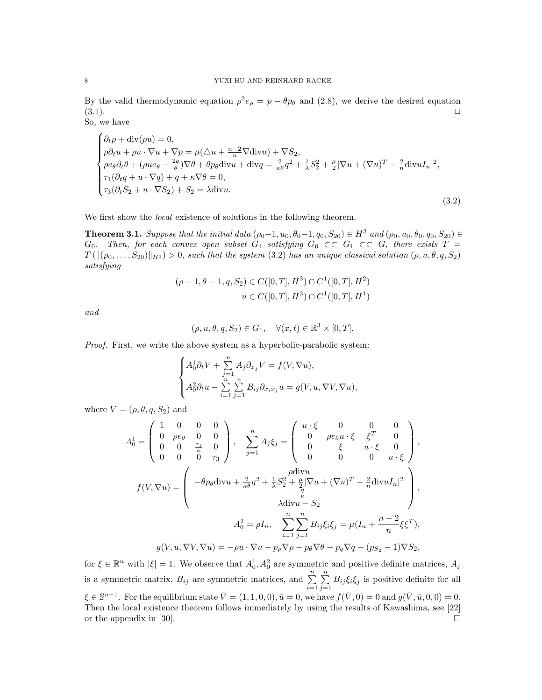By the valid thermodynamic equation  $\rho^2 e_{\rho} = p - \theta p_{\theta}$  and (2.8), we derive the desired equation  $(3.1).$ 

So, we have

$$
\begin{cases}\n\partial_t \rho + \text{div}(\rho u) = 0, \\
\rho \partial_t u + \rho u \cdot \nabla u + \nabla p = \mu(\triangle u + \frac{n-2}{n} \nabla \text{div} u) + \nabla S_2, \\
\rho e_\theta \partial_t \theta + (\rho u e_\theta - \frac{2q}{\theta}) \nabla \theta + \theta p_\theta \text{div} u + \text{div} q = \frac{2}{\kappa \theta} q^2 + \frac{1}{\lambda} S_2^2 + \frac{\mu}{2} |\nabla u + (\nabla u)^T - \frac{2}{n} \text{div} u I_n|^2, \\
\tau_1(\partial_t q + u \cdot \nabla q) + q + \kappa \nabla \theta = 0, \\
\tau_3(\partial_t S_2 + u \cdot \nabla S_2) + S_2 = \lambda \text{div} u.\n\end{cases} (3.2)
$$

We first show the local existence of solutions in the following theorem.

**Theorem 3.1.** Suppose that the initial data  $(\rho_0 - 1, u_0, \theta_0 - 1, q_0, S_{20}) \in H^3$  and  $(\rho_0, u_0, \theta_0, q_0, S_{20}) \in$  $G_0$ . Then, for each convex open subset  $G_1$  satisfying  $G_0 \subset\subset G_1 \subset\subset G$ , there exists  $T =$  $T(\|(\rho_0, \ldots, S_{20})\|_{H^3}) > 0$ , such that the system (3.2) has an unique classical solution  $(\rho, u, \theta, q, S_2)$ satisfying

$$
(\rho - 1, \theta - 1, q, S_2) \in C([0, T], H^3) \cap C^1([0, T], H^2)
$$
  

$$
u \in C([0, T], H^3) \cap C^1([0, T], H^1)
$$

and

$$
(\rho, u, \theta, q, S_2) \in G_1, \quad \forall (x, t) \in \mathbb{R}^3 \times [0, T].
$$

Proof. First, we write the above system as a hyperbolic-parabolic system:

$$
\begin{cases} A_0^1 \partial_t V + \sum\limits_{j=1}^n A_j \partial_{x_j} V = f(V, \nabla u), \\ A_0^2 \partial_t u - \sum\limits_{i=1}^n \sum\limits_{j=1}^n B_{ij} \partial_{x_i x_j} u = g(V, u, \nabla V, \nabla u), \end{cases}
$$

where  $V = (\rho, \theta, q, S_2)$  and

$$
A_0^1 = \begin{pmatrix} 1 & 0 & 0 & 0 \\ 0 & \rho e_\theta & 0 & 0 \\ 0 & 0 & \frac{\tau_1}{\kappa} & 0 \\ 0 & 0 & 0 & \tau_3 \end{pmatrix}, \quad \sum_{j=1}^n A_j \xi_j = \begin{pmatrix} u \cdot \xi & 0 & 0 & 0 \\ 0 & \rho e_\theta u \cdot \xi & \xi^T & 0 \\ 0 & \xi & u \cdot \xi & 0 \\ 0 & 0 & 0 & u \cdot \xi \end{pmatrix},
$$

$$
f(V, \nabla u) = \begin{pmatrix} -\theta p_\theta \operatorname{div} u + \frac{2}{\kappa \theta} q^2 + \frac{1}{\lambda} S_2^2 + \frac{\mu}{2} |\nabla u + (\nabla u)^T - \frac{2}{n} \operatorname{div} u I_n|^2 \\ -\frac{q}{\kappa} & \lambda \operatorname{div} u - S_2 \\ \lambda \operatorname{div} u - S_2 & H(0, \kappa) - S_2 \end{pmatrix},
$$

$$
A_0^2 = \rho I_n, \quad \sum_{i=1}^n \sum_{j=1}^n B_{ij} \xi_i \xi_j = \mu (I_n + \frac{n-2}{n} \xi \xi^T),
$$

$$
g(V, u, \nabla V, \nabla u) = -\rho u \cdot \nabla u - p_\rho \nabla \rho - p_\theta \nabla \theta - p_q \nabla q - (p_{S_2} - 1) \nabla S_2,
$$

for  $\xi \in \mathbb{R}^n$  with  $|\xi| = 1$ . We observe that  $A_0^1, A_0^2$  are symmetric and positive definite matrices,  $A_j$ is a symmetric matrix,  $B_{ij}$  are symmetric matrices, and  $\sum_{i=1}^{n}$  $\sum_{n=1}^{\infty}$  $\sum_{j=1} B_{ij} \xi_i \xi_j$  is positive definite for all  $\xi \in \mathbb{S}^{n-1}$ . For the equilibrium state  $\overline{V} = (1, 1, 0, 0), \overline{u} = 0$ , we have  $f(\overline{V}, 0) = 0$  and  $g(\overline{V}, \overline{u}, 0, 0) = 0$ . Then the local existence theorem follows immediately by using the results of Kawashima, see [22] or the appendix in [30].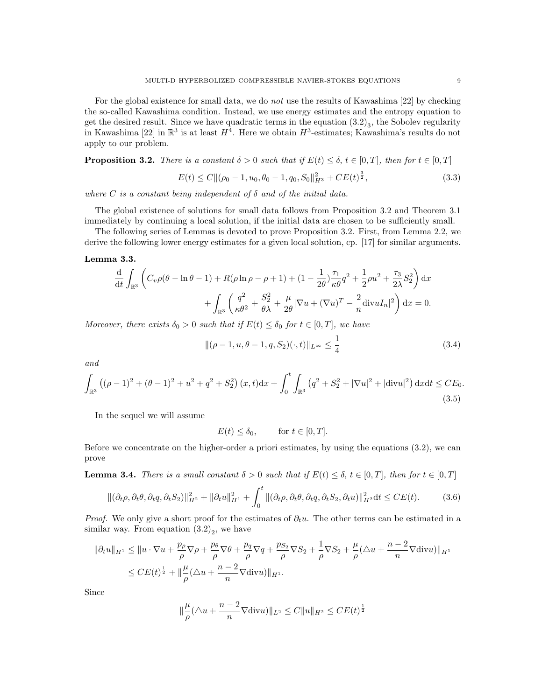For the global existence for small data, we do not use the results of Kawashima [22] by checking the so-called Kawashima condition. Instead, we use energy estimates and the entropy equation to get the desired result. Since we have quadratic terms in the equation  $(3.2)_3$ , the Sobolev regularity in Kawashima [22] in  $\mathbb{R}^3$  is at least  $H^4$ . Here we obtain  $H^3$ -estimates; Kawashima's results do not apply to our problem.

**Proposition 3.2.** There is a constant  $\delta > 0$  such that if  $E(t) \leq \delta, t \in [0, T]$ , then for  $t \in [0, T]$ 

$$
E(t) \le C \| (\rho_0 - 1, u_0, \theta_0 - 1, q_0, S_0 \|_{H^3}^2 + C E(t)^{\frac{3}{2}},
$$
\n(3.3)

where C is a constant being independent of  $\delta$  and of the initial data.

The global existence of solutions for small data follows from Proposition 3.2 and Theorem 3.1 immediately by continuing a local solution, if the initial data are chosen to be sufficiently small.

The following series of Lemmas is devoted to prove Proposition 3.2. First, from Lemma 2.2, we derive the following lower energy estimates for a given local solution, cp. [17] for similar arguments.

#### Lemma 3.3.

$$
\frac{\mathrm{d}}{\mathrm{d}t} \int_{\mathbb{R}^3} \left( C_v \rho(\theta - \ln \theta - 1) + R(\rho \ln \rho - \rho + 1) + (1 - \frac{1}{2\theta}) \frac{\tau_1}{\kappa \theta} q^2 + \frac{1}{2} \rho u^2 + \frac{\tau_3}{2\lambda} S_2^2 \right) \mathrm{d}x + \int_{\mathbb{R}^3} \left( \frac{q^2}{\kappa \theta^2} + \frac{S_2^2}{\theta \lambda} + \frac{\mu}{2\theta} |\nabla u + (\nabla u)^T - \frac{2}{n} \mathrm{div} u I_n|^2 \right) \mathrm{d}x = 0.
$$

Moreover, there exists  $\delta_0 > 0$  such that if  $E(t) \leq \delta_0$  for  $t \in [0, T]$ , we have

$$
\|(\rho - 1, u, \theta - 1, q, S_2)(\cdot, t)\|_{L^\infty} \le \frac{1}{4}
$$
\n(3.4)

and

$$
\int_{\mathbb{R}^3} \left( (\rho - 1)^2 + (\theta - 1)^2 + u^2 + q^2 + S_2^2 \right) (x, t) dx + \int_0^t \int_{\mathbb{R}^3} \left( q^2 + S_2^2 + |\nabla u|^2 + |\text{div} u|^2 \right) dx dt \le CE_0.
$$
\n(3.5)

In the sequel we will assume

$$
E(t) \le \delta_0, \quad \text{for } t \in [0, T].
$$

Before we concentrate on the higher-order a priori estimates, by using the equations (3.2), we can prove

**Lemma 3.4.** There is a small constant  $\delta > 0$  such that if  $E(t) \leq \delta, t \in [0, T]$ , then for  $t \in [0, T]$ 

$$
\|(\partial_t \rho, \partial_t \theta, \partial_t q, \partial_t S_2)\|_{H^2}^2 + \|\partial_t u\|_{H^1}^2 + \int_0^t \|(\partial_t \rho, \partial_t \theta, \partial_t q, \partial_t S_2, \partial_t u)\|_{H^2}^2 dt \le CE(t).
$$
 (3.6)

*Proof.* We only give a short proof for the estimates of  $\partial_t u$ . The other terms can be estimated in a similar way. From equation  $(3.2)_2$ , we have

$$
\|\partial_t u\|_{H^1} \le \|u \cdot \nabla u + \frac{p_\rho}{\rho} \nabla \rho + \frac{p_\theta}{\rho} \nabla \theta + \frac{p_g}{\rho} \nabla q + \frac{p_{S_2}}{\rho} \nabla S_2 + \frac{1}{\rho} \nabla S_2 + \frac{\mu}{\rho} (\triangle u + \frac{n-2}{n} \nabla \text{div} u) \|_{H^1}
$$
  

$$
\le CE(t)^{\frac{1}{2}} + \|\frac{\mu}{\rho} (\triangle u + \frac{n-2}{n} \nabla \text{div} u) \|_{H^1}.
$$

Since

$$
\|\frac{\mu}{\rho}(\triangle u + \frac{n-2}{n}\nabla \text{div} u)\|_{L^2} \le C \|u\|_{H^2} \le CE(t)^{\frac{1}{2}}
$$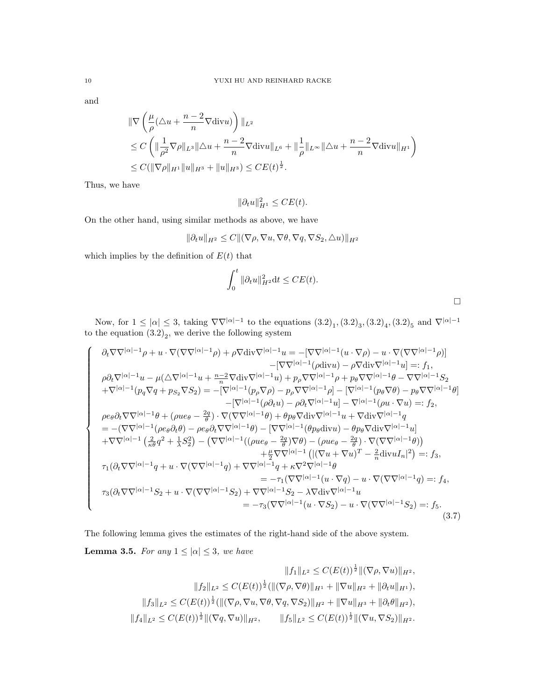and

 $\sqrt{ }$ 

 $\begin{array}{c} \begin{array}{c} \begin{array}{c} \end{array} \\ \end{array} \end{array}$ 

$$
\|\nabla \left(\frac{\mu}{\rho}(\Delta u + \frac{n-2}{n}\nabla \text{div}u)\right)\|_{L^2}
$$
  
\n
$$
\leq C \left(\|\frac{1}{\rho^2}\nabla \rho\|_{L^3}\|\Delta u + \frac{n-2}{n}\nabla \text{div}u\|_{L^6} + \|\frac{1}{\rho}\|_{L^\infty}\|\Delta u + \frac{n-2}{n}\nabla \text{div}u\|_{H^1}\right)
$$
  
\n
$$
\leq C (\|\nabla \rho\|_{H^1}\|u\|_{H^3} + \|u\|_{H^3}) \leq CE(t)^{\frac{1}{2}}.
$$

Thus, we have

$$
\|\partial_t u\|_{H^1}^2 \leq CE(t).
$$

On the other hand, using similar methods as above, we have

$$
\|\partial_t u\|_{H^2} \le C \| (\nabla \rho, \nabla u, \nabla \theta, \nabla q, \nabla S_2, \triangle u) \|_{H^2}
$$

which implies by the definition of  $E(t)$  that

$$
\int_0^t \|\partial_t u\|_{H^2}^2 dt \leq CE(t).
$$

Now, for  $1 \leq |\alpha| \leq 3$ , taking  $\nabla \nabla^{|\alpha|-1}$  to the equations  $(3.2)_1$ ,  $(3.2)_3$ ,  $(3.2)_4$ ,  $(3.2)_5$  and  $\nabla^{|\alpha|-1}$ to the equation  $(3.2)_2$ , we derive the following system

$$
\partial_t \nabla \nabla^{|\alpha|-1} \rho + u \cdot \nabla (\nabla \nabla^{|\alpha|-1} \rho) + \rho \nabla \text{div} \nabla^{|\alpha|-1} u = -[\nabla \nabla^{|\alpha|-1} (u \cdot \nabla \rho) - u \cdot \nabla (\nabla \nabla^{|\alpha|-1} \rho)] \n-[\nabla \nabla^{|\alpha|-1} (\rho \text{div} u) - \rho \nabla \text{div} \nabla^{|\alpha|-1} u] =: f_1, \n\rho \partial_t \nabla^{|\alpha|-1} u - \mu (\Delta \nabla^{|\alpha|-1} u + \frac{n-2}{n} \nabla \text{div} \nabla^{|\alpha|-1} u) + p_\rho \nabla \nabla^{|\alpha|-1} \rho + p_\theta \nabla \nabla^{|\alpha|-1} \theta - \nabla \nabla^{|\alpha|-1} S_2 \n+ \nabla^{|\alpha|-1} (p_q \nabla q + p_{S_2} \nabla S_2) = -[\nabla^{|\alpha|-1} (p_\rho \nabla \rho) - p_\rho \nabla \nabla^{|\alpha|-1} \rho] - [\nabla^{|\alpha|-1} (p_\theta \nabla \theta) - p_\theta \nabla \nabla^{|\alpha|-1} \theta] \n-[\nabla^{|\alpha|-1} (\rho \partial_t u) - \rho \partial_t \nabla^{|\alpha|-1} u] - \nabla^{|\alpha|-1} (\rho u \cdot \nabla u) =: f_2, \n\rho e_\theta \partial_t \nabla \nabla^{|\alpha|-1} \theta + (\rho u e_\theta - \frac{2q}{\theta}) \cdot \nabla (\nabla \nabla^{|\alpha|-1} \theta) + \theta p_\theta \nabla \text{div} \nabla^{|\alpha|-1} u + \nabla \text{div} \nabla^{|\alpha|-1} u] \n+ \nabla \nabla^{|\alpha|-1} (\rho e_\theta \partial_t \theta) - \rho e_\theta \partial_t \nabla \nabla^{|\alpha|-1} \theta) - [\nabla \nabla^{|\alpha|-1} (\theta p_\theta \text{div} u) - \theta p_\theta \nabla \text{div} \nabla^{|\alpha|-1} u] \n+ \nabla \nabla^{|\alpha|-1} (\rho e_\theta - \frac{2q}{\theta}) \nabla \theta
$$

The following lemma gives the estimates of the right-hand side of the above system.

**Lemma 3.5.** For any  $1 \leq |\alpha| \leq 3$ , we have

$$
||f_1||_{L^2} \leq C(E(t))^{\frac{1}{2}} ||(\nabla \rho, \nabla u)||_{H^2},
$$
  

$$
||f_2||_{L^2} \leq C(E(t))^{\frac{1}{2}} (||(\nabla \rho, \nabla \theta)||_{H^1} + ||\nabla u||_{H^2} + ||\partial_t u||_{H^1}),
$$
  

$$
||f_3||_{L^2} \leq C(E(t))^{\frac{1}{2}} (||(\nabla \rho, \nabla u, \nabla \theta, \nabla q, \nabla S_2)||_{H^2} + ||\nabla u||_{H^3} + ||\partial_t \theta||_{H^2}),
$$
  

$$
||f_4||_{L^2} \leq C(E(t))^{\frac{1}{2}} ||(\nabla q, \nabla u)||_{H^2}, \qquad ||f_5||_{L^2} \leq C(E(t))^{\frac{1}{2}} ||(\nabla u, \nabla S_2)||_{H^2}.
$$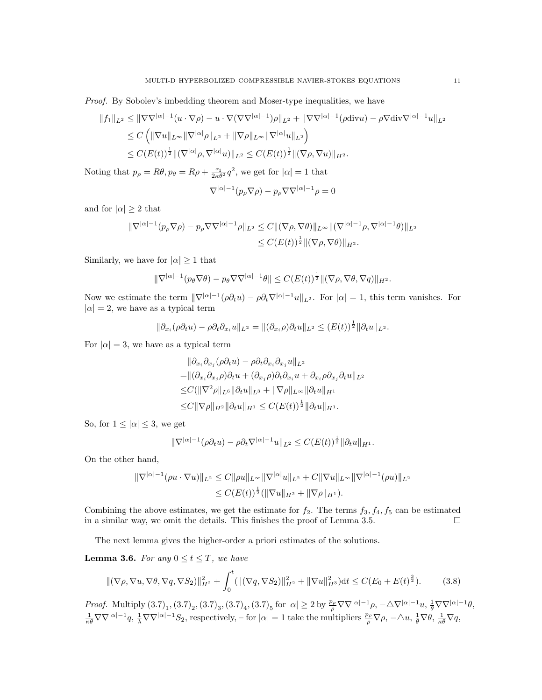Proof. By Sobolev's imbedding theorem and Moser-type inequalities, we have

$$
||f_1||_{L^2} \le ||\nabla \nabla^{|\alpha|-1}(u \cdot \nabla \rho) - u \cdot \nabla (\nabla \nabla^{|\alpha|-1})\rho||_{L^2} + ||\nabla \nabla^{|\alpha|-1}(\rho \text{div} u) - \rho \nabla \text{div} \nabla^{|\alpha|-1}u||_{L^2}
$$
  
\n
$$
\le C \left( ||\nabla u||_{L^{\infty}} ||\nabla^{|\alpha|}\rho||_{L^2} + ||\nabla \rho||_{L^{\infty}} ||\nabla^{|\alpha|}u||_{L^2} \right)
$$
  
\n
$$
\le C(E(t))^{\frac{1}{2}} ||(\nabla^{|\alpha|}\rho, \nabla^{|\alpha|}u)||_{L^2} \le C(E(t))^{\frac{1}{2}} ||(\nabla \rho, \nabla u)||_{H^2}.
$$

Noting that  $p_{\rho} = R\theta, p_{\theta} = R\rho + \frac{\tau_1}{2\kappa\theta^2}q^2$ , we get for  $|\alpha| = 1$  that

$$
\nabla^{|\alpha|-1}(p_{\rho}\nabla \rho) - p_{\rho}\nabla\nabla^{|\alpha|-1}\rho = 0
$$

and for  $|\alpha| \geq 2$  that

$$
\begin{aligned} \|\nabla^{|\alpha|-1}(p_{\rho}\nabla\rho)-p_{\rho}\nabla\nabla^{|\alpha|-1}\rho\|_{L^{2}}&\leq C\|(\nabla\rho,\nabla\theta)\|_{L^{\infty}}\|(\nabla^{|\alpha|-1}\rho,\nabla^{|\alpha|-1}\theta)\|_{L^{2}}\\ &\leq C(E(t))^{\frac{1}{2}}\|(\nabla\rho,\nabla\theta)\|_{H^{2}}.\end{aligned}
$$

Similarly, we have for  $|\alpha| \geq 1$  that

$$
\|\nabla^{|\alpha|-1}(p_{\theta}\nabla\theta)-p_{\theta}\nabla\nabla^{|\alpha|-1}\theta\|\leq C(E(t))^{\frac{1}{2}}\|(\nabla\rho,\nabla\theta,\nabla q)\|_{H^2}.
$$

Now we estimate the term  $\|\nabla^{|\alpha|-1}(\rho \partial_t u) - \rho \partial_t \nabla^{|\alpha|-1} u\|_{L^2}$ . For  $|\alpha| = 1$ , this term vanishes. For  $|\alpha| = 2$ , we have as a typical term

$$
\|\partial_{x_i}(\rho\partial_t u) - \rho\partial_t\partial_{x_i} u\|_{L^2} = \|(\partial_{x_i}\rho)\partial_t u\|_{L^2} \le (E(t))^{\frac{1}{2}} \|\partial_t u\|_{L^2}.
$$

For  $|\alpha| = 3$ , we have as a typical term

$$
\|\partial_{x_i}\partial_{x_j}(\rho\partial_t u) - \rho\partial_t\partial_{x_i}\partial_{x_j}u\|_{L^2}
$$
  
\n=
$$
\|(\partial_{x_i}\partial_{x_j}\rho)\partial_t u + (\partial_{x_j}\rho)\partial_t\partial_{x_i}u + \partial_{x_i}\rho\partial_{x_j}\partial_t u\|_{L^2}
$$
  
\n
$$
\leq C(\|\nabla^2\rho\|_{L^6}\|\partial_t u\|_{L^3} + \|\nabla\rho\|_{L^\infty}\|\partial_t u\|_{H^1}
$$
  
\n
$$
\leq C\|\nabla\rho\|_{H^2}\|\partial_t u\|_{H^1} \leq C(E(t))^{\frac{1}{2}}\|\partial_t u\|_{H^1}.
$$

So, for  $1 \leq |\alpha| \leq 3$ , we get

$$
\|\nabla^{|\alpha|-1}(\rho\partial_t u) - \rho\partial_t \nabla^{|\alpha|-1} u\|_{L^2} \leq C(E(t))^{\frac{1}{2}} \|\partial_t u\|_{H^1}.
$$

On the other hand,

$$
\begin{aligned} \|\nabla^{|\alpha|-1}(\rho u \cdot \nabla u)\|_{L^2} &\leq C \|\rho u\|_{L^\infty} \|\nabla^{|\alpha|} u\|_{L^2} + C \|\nabla u\|_{L^\infty} \|\nabla^{|\alpha|-1}(\rho u)\|_{L^2} \\ &\leq C (E(t))^{\frac{1}{2}} (\|\nabla u\|_{H^2} + \|\nabla \rho\|_{H^1}). \end{aligned}
$$

Combining the above estimates, we get the estimate for  $f_2$ . The terms  $f_3, f_4, f_5$  can be estimated in a similar way, we omit the details. This finishes the proof of Lemma 3.5.  $\Box$ 

The next lemma gives the higher-order a priori estimates of the solutions.

**Lemma 3.6.** For any  $0 \le t \le T$ , we have

$$
\|(\nabla \rho, \nabla u, \nabla \theta, \nabla q, \nabla S_2)\|_{H^2}^2 + \int_0^t (\|(\nabla q, \nabla S_2)\|_{H^2}^2 + \|\nabla u\|_{H^3}^2) dt \le C(E_0 + E(t)^{\frac{3}{2}}). \tag{3.8}
$$

*Proof.* Multiply  $(3.7)_1$ ,  $(3.7)_2$ ,  $(3.7)_3$ ,  $(3.7)_4$ ,  $(3.7)_5$  for  $|\alpha| \geq 2$  by  $\frac{p_\rho}{\rho} \nabla \nabla^{|\alpha|-1} \rho$ ,  $-\Delta \nabla^{|\alpha|-1} u$ ,  $\frac{1}{\theta} \nabla \nabla^{|\alpha|-1} \theta$ ,  $\frac{1}{\kappa\theta}\nabla\nabla^{|\alpha|-1}q$ ,  $\frac{1}{\lambda}\nabla\nabla^{|\alpha|-1}S_2$ , respectively, – for  $|\alpha|=1$  take the multipliers  $\frac{p_\rho}{\rho}\nabla\rho$ ,  $-\triangle u$ ,  $\frac{1}{\theta}\nabla\theta$ ,  $\frac{1}{\kappa\theta}\nabla q$ ,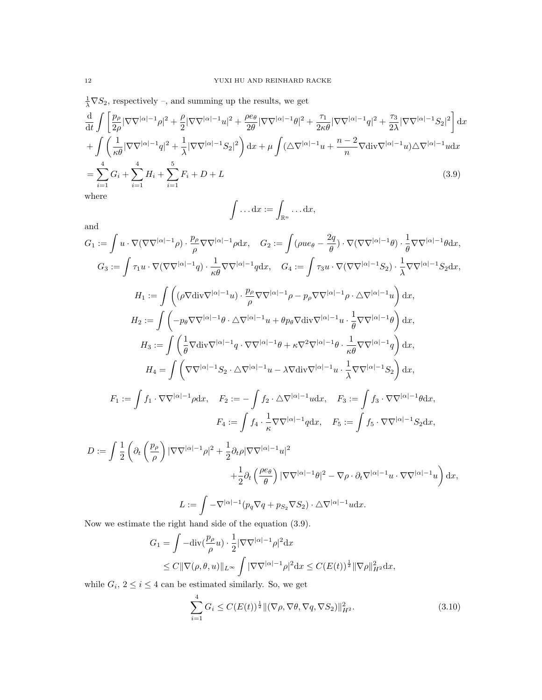$\frac{1}{\lambda}\nabla S_2$ , respectively –, and summing up the results, we get

$$
\frac{d}{dt} \int \left[ \frac{p_{\rho}}{2\rho} |\nabla \nabla^{|\alpha|-1} \rho|^2 + \frac{\rho}{2} |\nabla \nabla^{|\alpha|-1} u|^2 + \frac{\rho e_{\theta}}{2\theta} |\nabla \nabla^{|\alpha|-1} \theta|^2 + \frac{\tau_1}{2\kappa \theta} |\nabla \nabla^{|\alpha|-1} q|^2 + \frac{\tau_3}{2\lambda} |\nabla \nabla^{|\alpha|-1} S_2|^2 \right] dx
$$
\n
$$
+ \int \left( \frac{1}{\kappa \theta} |\nabla \nabla^{|\alpha|-1} q|^2 + \frac{1}{\lambda} |\nabla \nabla^{|\alpha|-1} S_2|^2 \right) dx + \mu \int (\Delta \nabla^{|\alpha|-1} u + \frac{n-2}{n} \nabla \text{div} \nabla^{|\alpha|-1} u) \Delta \nabla^{|\alpha|-1} u dx
$$
\n
$$
= \sum_{i=1}^4 G_i + \sum_{i=1}^4 H_i + \sum_{i=1}^5 F_i + D + L
$$
\n(3.9)\nwhere\n
$$
\int \dots dx := \int_{\mathbb{R}^n} \dots dx,
$$
\n(3.9)

and  
\n
$$
G_1 := \int u \cdot \nabla(\nabla\nabla^{|\alpha|-1}\rho) \cdot \frac{p_\rho}{\rho} \nabla\nabla^{|\alpha|-1}\rho \mathrm{d}x, \quad G_2 := \int (\rho u e_\theta - \frac{2q}{\theta}) \cdot \nabla(\nabla\nabla^{|\alpha|-1}\theta) \cdot \frac{1}{\theta} \nabla\nabla^{|\alpha|-1}\theta \mathrm{d}x,   
\nG_3 := \int \tau_1 u \cdot \nabla(\nabla\nabla^{|\alpha|-1}q) \cdot \frac{1}{\kappa \theta} \nabla\nabla^{|\alpha|-1}q \mathrm{d}x, \quad G_4 := \int \tau_3 u \cdot \nabla(\nabla\nabla^{|\alpha|-1}S_2) \cdot \frac{1}{\lambda} \nabla\nabla^{|\alpha|-1}S_2 \mathrm{d}x,   
\nH_1 := \int \left( (\rho \nabla \text{div} \nabla^{|\alpha|-1}u) \cdot \frac{p_\rho}{\rho} \nabla\nabla^{|\alpha|-1}\rho - p_\rho \nabla\nabla^{|\alpha|-1}\rho \cdot \Delta\nabla^{|\alpha|-1}u \right) \mathrm{d}x,   
\nH_2 := \int \left( -p_\theta \nabla\nabla^{|\alpha|-1}\theta \cdot \Delta\nabla^{|\alpha|-1}u + \theta p_\theta \nabla \text{div} \nabla^{|\alpha|-1}u \cdot \frac{1}{\theta} \nabla\nabla^{|\alpha|-1}\theta \right) \mathrm{d}x,   
\nH_3 := \int \left( \frac{1}{\theta} \nabla \text{div} \nabla^{|\alpha|-1}q \cdot \nabla\nabla^{|\alpha|-1}\theta + \kappa \nabla^2\nabla^{|\alpha|-1}\theta \cdot \frac{1}{\kappa \theta} \nabla\nabla^{|\alpha|-1}q \right) \mathrm{d}x,   
\nH_4 = \int \left( \nabla\nabla^{|\alpha|-1}S_2 \cdot \Delta\nabla^{|\alpha|-1}u - \lambda \nabla \text{div} \nabla^{|\alpha|-1}u \cdot \frac{1}{\lambda} \nabla\nabla^{|\alpha|-1}S_2 \right) \mathrm{d}x,   
\nF_1 := \int f_1 \cdot \nabla\nabla^{|\alpha|-1}\rho \mathrm{d}x, \quad F_2 := -\int f_2 \cdot \Delta\nab
$$

$$
L := \int -\nabla^{|\alpha|-1}(p_q \nabla q + p_{S_2} \nabla S_2) \cdot \Delta \nabla^{|\alpha|-1} u \, dx.
$$

Now we estimate the right hand side of the equation (3.9).

$$
G_1 = \int -\text{div}\left(\frac{p_\rho}{\rho}u\right) \cdot \frac{1}{2} |\nabla \nabla^{|\alpha|-1} \rho|^2 \,dx
$$
  
\$\leq C \|\nabla(\rho, \theta, u)\|\_{L^\infty} \int |\nabla \nabla^{|\alpha|-1} \rho|^2 \,dx \leq C (E(t))^{\frac{1}{2}} \|\nabla \rho\|\_{H^2}^2 \,dx\$,

while  $G_i$ ,  $2 \leq i \leq 4$  can be estimated similarly. So, we get

$$
\sum_{i=1}^{4} G_i \le C(E(t))^{\frac{1}{2}} \| (\nabla \rho, \nabla \theta, \nabla q, \nabla S_2) \|_{H^2}^2.
$$
\n(3.10)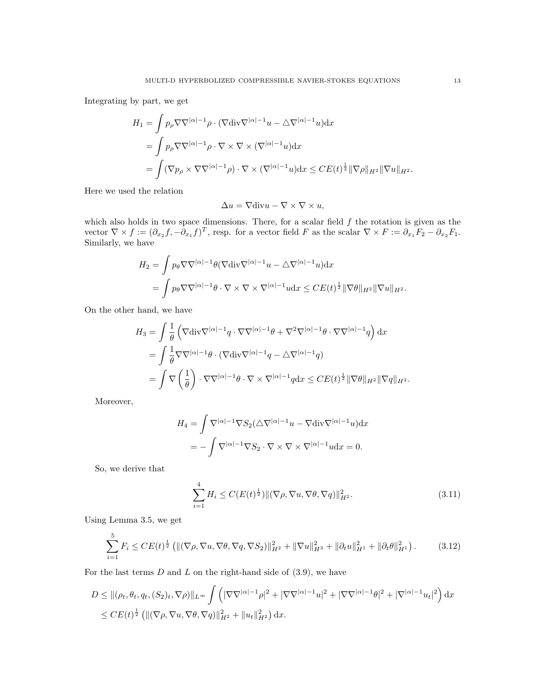Integrating by part, we get

$$
H_1 = \int p_\rho \nabla \nabla^{|\alpha|-1} \rho \cdot (\nabla \text{div} \nabla^{|\alpha|-1} u - \Delta \nabla^{|\alpha|-1} u) dx
$$
  
= 
$$
\int p_\rho \nabla \nabla^{|\alpha|-1} \rho \cdot \nabla \times \nabla \times (\nabla^{|\alpha|-1} u) dx
$$
  
= 
$$
\int (\nabla p_\rho \times \nabla \nabla^{|\alpha|-1} \rho) \cdot \nabla \times (\nabla^{|\alpha|-1} u) dx \leq CE(t)^{\frac{1}{2}} \|\nabla \rho\|_{H^2} \|\nabla u\|_{H^2}.
$$

Here we used the relation

$$
\Delta u = \nabla \text{div} u - \nabla \times \nabla \times u,
$$

which also holds in two space dimensions. There, for a scalar field  $f$  the rotation is given as the vector  $\nabla \times f := (\partial_{x_2} f, -\partial_{x_1} f)^T$ , resp. for a vector field F as the scalar  $\nabla \times F := \partial_{x_1} F_2 - \partial_{x_2} F_1$ . Similarly, we have

$$
H_2 = \int p_\theta \nabla \nabla^{|\alpha|-1} \theta (\nabla \text{div} \nabla^{|\alpha|-1} u - \Delta \nabla^{|\alpha|-1} u) \, dx
$$
  
= 
$$
\int p_\theta \nabla \nabla^{|\alpha|-1} \theta \cdot \nabla \times \nabla \times \nabla^{|\alpha|-1} u \, dx \leq CE(t)^{\frac{1}{2}} \|\nabla \theta\|_{H^2} \|\nabla u\|_{H^2}.
$$

On the other hand, we have

$$
H_3 = \int \frac{1}{\theta} \left( \nabla \text{div} \nabla^{|\alpha|-1} q \cdot \nabla \nabla^{|\alpha|-1} \theta + \nabla^2 \nabla^{|\alpha|-1} \theta \cdot \nabla \nabla^{|\alpha|-1} q \right) dx
$$
  
= 
$$
\int \frac{1}{\theta} \nabla \nabla^{|\alpha|-1} \theta \cdot (\nabla \text{div} \nabla^{|\alpha|-1} q - \Delta \nabla^{|\alpha|-1} q)
$$
  
= 
$$
\int \nabla \left( \frac{1}{\theta} \right) \cdot \nabla \nabla^{|\alpha|-1} \theta \cdot \nabla \times \nabla^{|\alpha|-1} q dx \leq CE(t)^{\frac{1}{2}} \|\nabla \theta\|_{H^2} \|\nabla q\|_{H^2}.
$$

Moreover,

$$
H_4 = \int \nabla^{|\alpha|-1} \nabla S_2(\triangle \nabla^{|\alpha|-1} u - \nabla \text{div} \nabla^{|\alpha|-1} u) \, dx
$$
  
= 
$$
- \int \nabla^{|\alpha|-1} \nabla S_2 \cdot \nabla \times \nabla \times \nabla^{|\alpha|-1} u \, dx = 0.
$$

So, we derive that

$$
\sum_{i=1}^{4} H_i \le C(E(t)^{\frac{1}{2}}) \| (\nabla \rho, \nabla u, \nabla \theta, \nabla q) \|_{H^2}^2.
$$
 (3.11)

Using Lemma 3.5, we get

$$
\sum_{i=1}^{5} F_i \le CE(t)^{\frac{1}{2}} \left( \| (\nabla \rho, \nabla u, \nabla \theta, \nabla q, \nabla S_2) \|_{H^2}^2 + \| \nabla u \|_{H^3}^2 + \| \partial_t u \|_{H^1}^2 + \| \partial_t \theta \|_{H^1}^2 \right). \tag{3.12}
$$

For the last terms  $D$  and  $L$  on the right-hand side of  $(3.9)$ , we have

$$
D \leq ||(\rho_t, \theta_t, q_t, (S_2)_t, \nabla \rho)||_{L^{\infty}} \int \left( |\nabla \nabla^{|\alpha|-1} \rho|^2 + |\nabla \nabla^{|\alpha|-1} u|^2 + |\nabla \nabla^{|\alpha|-1} \theta|^2 + |\nabla^{|\alpha|-1} u_t|^2 \right) dx
$$
  

$$
\leq CE(t)^{\frac{1}{2}} \left( ||(\nabla \rho, \nabla u, \nabla \theta, \nabla q)||_{H^2}^2 + ||u_t||_{H^2}^2 \right) dx.
$$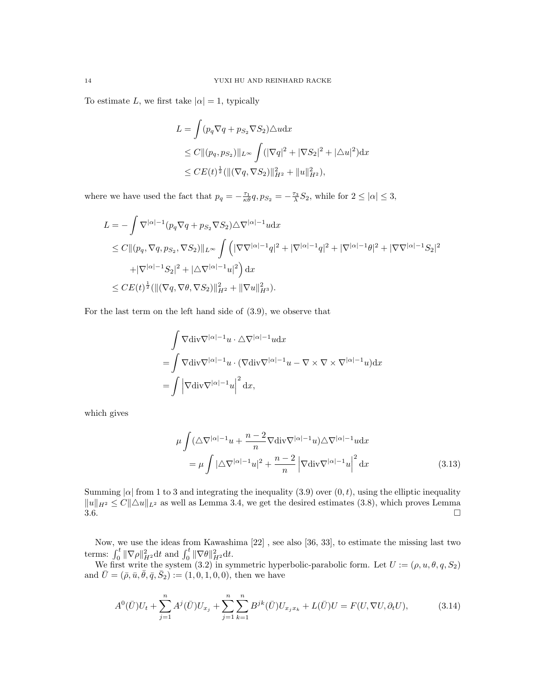To estimate L, we first take  $|\alpha|=1$ , typically

$$
L = \int (p_q \nabla q + p_{S_2} \nabla S_2) \triangle u \, dx
$$
  
\n
$$
\leq C ||(p_q, p_{S_2})||_{L^{\infty}} \int (|\nabla q|^2 + |\nabla S_2|^2 + |\triangle u|^2) \, dx
$$
  
\n
$$
\leq CE(t)^{\frac{1}{2}} (||(\nabla q, \nabla S_2)||_{H^2}^2 + ||u||_{H^2}^2),
$$

where we have used the fact that  $p_q = -\frac{\tau_1}{\kappa \theta} q$ ,  $p_{S_2} = -\frac{\tau_3}{\lambda} S_2$ , while for  $2 \leq |\alpha| \leq 3$ ,

$$
L = -\int \nabla^{|\alpha|-1} (p_q \nabla q + p_{S_2} \nabla S_2) \triangle \nabla^{|\alpha|-1} u \, dx
$$
  
\n
$$
\leq C \|(p_q, \nabla q, p_{S_2}, \nabla S_2)\|_{L^\infty} \int \left( |\nabla \nabla^{|\alpha|-1} q|^2 + |\nabla^{|\alpha|-1} q|^2 + |\nabla^{|\alpha|-1} \theta|^2 + |\nabla \nabla^{|\alpha|-1} S_2|^2 \right. \\ \left. + |\nabla^{|\alpha|-1} S_2|^2 + |\triangle \nabla^{|\alpha|-1} u|^2 \right) \, dx
$$
  
\n
$$
\leq C E(t)^{\frac{1}{2}} (\|(\nabla q, \nabla \theta, \nabla S_2)\|_{H^2}^2 + \|\nabla u\|_{H^3}^2).
$$

For the last term on the left hand side of (3.9), we observe that

$$
\int \nabla \text{div} \nabla^{|\alpha|-1} u \cdot \Delta \nabla^{|\alpha|-1} u \, dx
$$
\n
$$
= \int \nabla \text{div} \nabla^{|\alpha|-1} u \cdot (\nabla \text{div} \nabla^{|\alpha|-1} u - \nabla \times \nabla \times \nabla^{|\alpha|-1} u) \, dx
$$
\n
$$
= \int \left| \nabla \text{div} \nabla^{|\alpha|-1} u \right|^2 \, dx,
$$

which gives

$$
\mu \int (\Delta \nabla^{|\alpha|-1} u + \frac{n-2}{n} \nabla \text{div} \nabla^{|\alpha|-1} u) \Delta \nabla^{|\alpha|-1} u \, dx
$$

$$
= \mu \int |\Delta \nabla^{|\alpha|-1} u|^2 + \frac{n-2}{n} |\nabla \text{div} \nabla^{|\alpha|-1} u|^2 \, dx \tag{3.13}
$$

Summing  $|\alpha|$  from 1 to 3 and integrating the inequality (3.9) over  $(0, t)$ , using the elliptic inequality  $||u||_{H^2} \leq C||\Delta u||_{L^2}$  as well as Lemma 3.4, we get the desired estimates (3.8), which proves Lemma  $3.6.$ 

Now, we use the ideas from Kawashima [22] , see also [36, 33], to estimate the missing last two terms:  $\int_0^t \|\nabla \rho\|_{H^2}^2 dt$  and  $\int_0^t \|\nabla \theta\|_{H^2}^2 dt$ .

We first write the system (3.2) in symmetric hyperbolic-parabolic form. Let  $U := (\rho, u, \theta, q, S_2)$ and  $\bar{U} = (\bar{\rho}, \bar{u}, \bar{\theta}, \bar{q}, \bar{S}_2) := (1, 0, 1, 0, 0),$  then we have

$$
A^{0}(\bar{U})U_{t} + \sum_{j=1}^{n} A^{j}(\bar{U})U_{x_{j}} + \sum_{j=1}^{n} \sum_{k=1}^{n} B^{jk}(\bar{U})U_{x_{j}x_{k}} + L(\bar{U})U = F(U, \nabla U, \partial_{t}U), \tag{3.14}
$$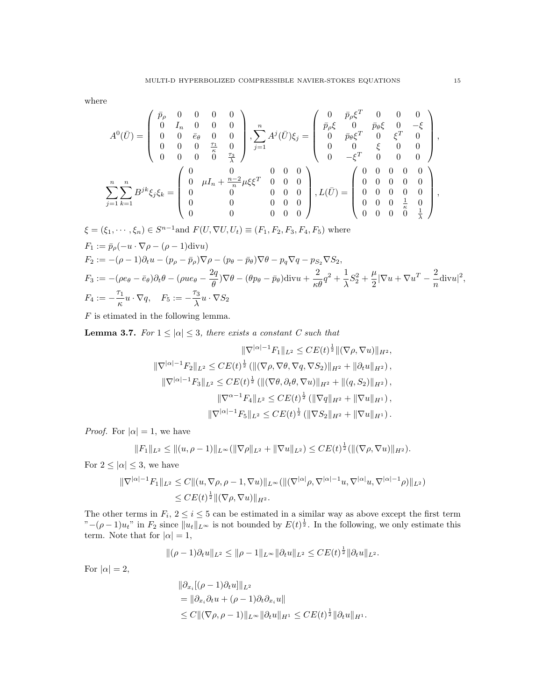where

$$
A^{0}(\bar{U}) = \begin{pmatrix} \bar{p}_{\rho} & 0 & 0 & 0 & 0 \\ 0 & I_{n} & 0 & 0 & 0 \\ 0 & 0 & \bar{e}_{\theta} & 0 & 0 \\ 0 & 0 & 0 & \frac{\tau_{1}}{\kappa} & 0 \\ 0 & 0 & 0 & 0 & \frac{\tau_{3}}{\lambda} \end{pmatrix}, \sum_{j=1}^{n} A^{j}(\bar{U})\xi_{j} = \begin{pmatrix} 0 & \bar{p}_{\rho}\xi^{T} & 0 & 0 & 0 \\ \bar{p}_{\rho}\xi & 0 & \bar{p}_{\theta}\xi & 0 & -\xi \\ 0 & \bar{p}_{\theta}\xi^{T} & 0 & \xi^{T} & 0 \\ 0 & 0 & \xi & 0 & 0 \\ 0 & 0 & 0 & 0 & 0 \end{pmatrix},
$$

$$
\sum_{j=1}^{n} \sum_{k=1}^{n} B^{jk}\xi_{j}\xi_{k} = \begin{pmatrix} 0 & 0 & 0 & 0 & 0 \\ 0 & \mu I_{n} + \frac{n-2}{n}\mu\xi\xi^{T} & 0 & 0 & 0 \\ 0 & 0 & 0 & 0 & 0 \\ 0 & 0 & 0 & 0 & 0 \\ 0 & 0 & 0 & 0 & 0 \end{pmatrix}, L(\bar{U}) = \begin{pmatrix} 0 & 0 & 0 & 0 & 0 \\ 0 & 0 & 0 & 0 & 0 \\ 0 & 0 & 0 & 0 & 0 \\ 0 & 0 & 0 & 0 & \frac{1}{\kappa} & 0 \\ 0 & 0 & 0 & \frac{1}{\kappa} & 0 \\ 0 & 0 & 0 & 0 & \frac{1}{\kappa} \end{pmatrix},
$$

$$
\xi = (\xi_1, \dots, \xi_n) \in S^{n-1} \text{and } F(U, \nabla U, U_t) \equiv (F_1, F_2, F_3, F_4, F_5) \text{ where}
$$
  
\n
$$
F_1 := \bar{p}_\rho(-u \cdot \nabla \rho - (\rho - 1) \text{div} u)
$$
  
\n
$$
F_2 := -(\rho - 1)\partial_t u - (p_\rho - \bar{p}_\rho)\nabla \rho - (p_\theta - \bar{p}_\theta)\nabla \theta - p_q \nabla q - p_{S_2} \nabla S_2,
$$
  
\n
$$
F_3 := -(\rho e_\theta - \bar{e}_\theta)\partial_t \theta - (\rho u e_\theta - \frac{2q}{\theta})\nabla \theta - (\theta p_\theta - \bar{p}_\theta) \text{div} u + \frac{2}{\kappa \theta}q^2 + \frac{1}{\lambda}S_2^2 + \frac{\mu}{2}|\nabla u + \nabla u^T - \frac{2}{n}\text{div} u|^2,
$$
  
\n
$$
F_4 := -\frac{\tau_1}{\kappa}u \cdot \nabla q, \quad F_5 := -\frac{\tau_3}{\lambda}u \cdot \nabla S_2
$$

 $F$  is etimated in the following lemma.

**Lemma 3.7.** For  $1 \leq |\alpha| \leq 3$ , there exists a constant C such that

$$
\|\nabla^{|\alpha|-1}F_1\|_{L^2} \le CE(t)^{\frac{1}{2}}\|(\nabla\rho,\nabla u)\|_{H^2},
$$
  

$$
\|\nabla^{|\alpha|-1}F_2\|_{L^2} \le CE(t)^{\frac{1}{2}}\left(\|(\nabla\rho,\nabla\theta,\nabla q,\nabla S_2)\|_{H^2} + \|\partial_t u\|_{H^2}\right),
$$
  

$$
\|\nabla^{|\alpha|-1}F_3\|_{L^2} \le CE(t)^{\frac{1}{2}}\left(\|(\nabla\theta,\partial_t\theta,\nabla u)\|_{H^2} + \|(q,S_2)\|_{H^2}\right),
$$
  

$$
\|\nabla^{\alpha-1}F_4\|_{L^2} \le CE(t)^{\frac{1}{2}}\left(\|\nabla q\|_{H^2} + \|\nabla u\|_{H^1}\right),
$$
  

$$
\|\nabla^{|\alpha|-1}F_5\|_{L^2} \le CE(t)^{\frac{1}{2}}\left(\|\nabla S_2\|_{H^2} + \|\nabla u\|_{H^1}\right).
$$

*Proof.* For  $|\alpha| = 1$ , we have

$$
||F_1||_{L^2} \leq ||(u, \rho - 1)||_{L^{\infty}} (||\nabla \rho||_{L^2} + ||\nabla u||_{L^2}) \leq CE(t)^{\frac{1}{2}} (||(\nabla \rho, \nabla u)||_{H^2}).
$$

For  $2 \leq |\alpha| \leq 3$ , we have

$$
\begin{aligned} \|\nabla^{|\alpha|-1}F_1\|_{L^2} &\leq C \|(u,\nabla\rho,\rho-1,\nabla u)\|_{L^\infty} (\|\nabla^{|\alpha|}\rho,\nabla^{|\alpha|-1}u,\nabla^{|\alpha|}u,\nabla^{|\alpha|-1}\rho)\|_{L^2}) \\ &\leq CE(t)^{\frac{1}{2}} \|(\nabla\rho,\nabla u)\|_{H^2} .\end{aligned}
$$

The other terms in  $F_i$ ,  $2 \le i \le 5$  can be estimated in a similar way as above except the first term  $"-(\rho-1)u_t"$  in  $F_2$  since  $||u_t||_{L^\infty}$  is not bounded by  $E(t)^{\frac{1}{2}}$ . In the following, we only estimate this term. Note that for  $|\alpha|=1$ ,

$$
\|(\rho-1)\partial_t u\|_{L^2}\leq \|\rho-1\|_{L^\infty}\|\partial_t u\|_{L^2}\leq CE(t)^{\frac{1}{2}}\|\partial_t u\|_{L^2}.
$$

For  $|\alpha|=2$ ,

$$
\|\partial_{x_i} [(\rho - 1)\partial_t u] \|_{L^2}
$$
  
=  $\|\partial_{x_i} \partial_t u + (\rho - 1)\partial_t \partial_{x_i} u\|$   
 $\leq C \| (\nabla \rho, \rho - 1) \|_{L^\infty} \|\partial_t u \|_{H^1} \leq CE(t)^{\frac{1}{2}} \|\partial_t u \|_{H^1}.$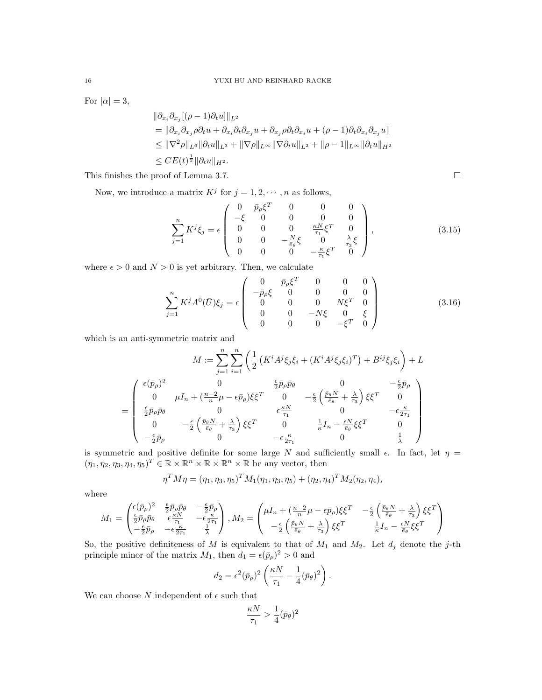For  $|\alpha|=3$ ,

$$
\|\partial_{x_i}\partial_{x_j}[(\rho-1)\partial_t u]\|_{L^2}
$$
  
\n
$$
= \|\partial_{x_i}\partial_{x_j}\rho\partial_t u + \partial_{x_i}\partial_t\partial_{x_j} u + \partial_{x_j}\rho\partial_t\partial_{x_i} u + (\rho-1)\partial_t\partial_{x_i}\partial_{x_j} u\|
$$
  
\n
$$
\leq \|\nabla^2 \rho\|_{L^6}\|\partial_t u\|_{L^3} + \|\nabla \rho\|_{L^\infty}\|\nabla \partial_t u\|_{L^2} + \|\rho-1\|_{L^\infty}\|\partial_t u\|_{H^2}
$$
  
\n
$$
\leq CE(t)^{\frac{1}{2}}\|\partial_t u\|_{H^2}.
$$

This finishes the proof of Lemma 3.7.

Now, we introduce a matrix  $K^j$  for  $j = 1, 2, \dots, n$  as follows,

$$
\sum_{j=1}^{n} K^{j} \xi_{j} = \epsilon \begin{pmatrix} 0 & \bar{p}_{\rho} \xi^{T} & 0 & 0 & 0 \\ -\xi & 0 & 0 & 0 & 0 \\ 0 & 0 & 0 & \frac{\kappa N}{\tau_{1}} \xi^{T} & 0 \\ 0 & 0 & -\frac{N}{\bar{e}_{\theta}} \xi & 0 & \frac{\lambda}{\tau_{3}} \xi \\ 0 & 0 & 0 & -\frac{\kappa}{\tau_{1}} \xi^{T} & 0 \end{pmatrix},
$$
(3.15)

where  $\epsilon > 0$  and  $N > 0$  is yet arbitrary. Then, we calculate

$$
\sum_{j=1}^{n} K^{j} A^{0}(\bar{U}) \xi_{j} = \epsilon \begin{pmatrix} 0 & \bar{p}_{\rho} \xi^{T} & 0 & 0 & 0 \\ -\bar{p}_{\rho} \xi & 0 & 0 & 0 & 0 \\ 0 & 0 & 0 & N\xi^{T} & 0 \\ 0 & 0 & -N\xi & 0 & \xi \\ 0 & 0 & 0 & -\xi^{T} & 0 \end{pmatrix}
$$
(3.16)

which is an anti-symmetric matrix and

$$
M := \sum_{j=1}^{n} \sum_{i=1}^{n} \left( \frac{1}{2} \left( K^{i} A^{j} \xi_{j} \xi_{i} + (K^{i} A^{j} \xi_{j} \xi_{i})^{T} \right) + B^{ij} \xi_{j} \xi_{i} \right) + L
$$
  

$$
= \begin{pmatrix} \epsilon(\bar{p}_{\rho})^{2} & 0 & \frac{\epsilon}{2} \bar{p}_{\rho} \bar{p}_{\theta} & 0 & -\frac{\epsilon}{2} \bar{p}_{\rho} \\ 0 & \mu I_{n} + (\frac{n-2}{n} \mu - \epsilon \bar{p}_{\rho}) \xi \xi^{T} & 0 & -\frac{\epsilon}{2} \left( \frac{\bar{p}_{\theta} N}{\bar{e}_{\theta}} + \frac{\lambda}{\tau_{3}} \right) \xi \xi^{T} & 0 \\ \frac{\epsilon}{2} \bar{p}_{\rho} \bar{p}_{\theta} & 0 & \epsilon \frac{\kappa N}{\tau_{1}} & 0 & -\epsilon \frac{\kappa}{2\tau_{1}} \\ 0 & -\frac{\epsilon}{2} \left( \frac{\bar{p}_{\theta} N}{\bar{e}_{\theta}} + \frac{\lambda}{\tau_{3}} \right) \xi \xi^{T} & 0 & \frac{1}{\kappa} I_{n} - \frac{\epsilon N}{\bar{e}_{\theta}} \xi \xi^{T} & 0 \\ -\frac{\epsilon}{2} \bar{p}_{\rho} & 0 & -\epsilon \frac{\kappa}{2\tau_{1}} & 0 & \frac{1}{\lambda} \end{pmatrix}
$$

is symmetric and positive definite for some large N and sufficiently small  $\epsilon$ . In fact, let  $\eta$  =  $(\eta_1, \eta_2, \eta_3, \eta_4, \eta_5)^T \in \mathbb{R} \times \mathbb{R}^n \times \mathbb{R} \times \mathbb{R}^n \times \mathbb{R}$  be any vector, then

$$
\eta^T M \eta = (\eta_1, \eta_3, \eta_5)^T M_1(\eta_1, \eta_3, \eta_5) + (\eta_2, \eta_4)^T M_2(\eta_2, \eta_4),
$$

where

$$
M_1 = \begin{pmatrix} \epsilon(\bar{p}_\rho)^2 & \frac{\epsilon}{2}\bar{p}_\rho\bar{p}_\theta & -\frac{\epsilon}{2}\bar{p}_\rho\\ \frac{\epsilon}{2}\bar{p}_\rho\bar{p}_\theta & \epsilon\frac{\kappa N}{\tau_1} & -\epsilon\frac{\kappa}{2\tau_1}\\ -\frac{\epsilon}{2}\bar{p}_\rho & -\epsilon\frac{\kappa}{2\tau_1} & \frac{1}{\lambda} \end{pmatrix}, M_2 = \begin{pmatrix} \mu I_n + (\frac{n-2}{n}\mu - \epsilon\bar{p}_\rho)\xi\xi^T & -\frac{\epsilon}{2}\left(\frac{\bar{p}_\theta N}{\bar{e}_\theta} + \frac{\lambda}{\tau_3}\right)\xi\xi^T\\ -\frac{\epsilon}{2}\left(\frac{\bar{p}_\theta N}{\bar{e}_\theta} + \frac{\lambda}{\tau_3}\right)\xi\xi^T & \frac{1}{\kappa}I_n - \frac{\epsilon N}{\bar{e}_\theta}\xi\xi^T \end{pmatrix}
$$

So, the positive definiteness of M is equivalent to that of  $M_1$  and  $M_2$ . Let  $d_j$  denote the j-th principle minor of the matrix  $M_1$ , then  $d_1 = \epsilon(\bar{p}_p)^2 > 0$  and

$$
d_2 = \epsilon^2 (\bar{p}_\rho)^2 \left( \frac{\kappa N}{\tau_1} - \frac{1}{4} (\bar{p}_\theta)^2 \right).
$$

We can choose  $N$  independent of  $\epsilon$  such that

$$
\frac{\kappa N}{\tau_1} > \frac{1}{4}(\bar p_\theta)^2
$$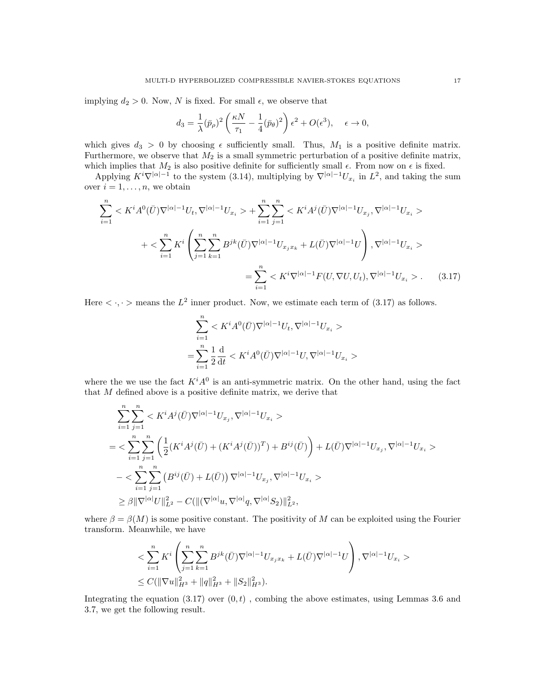implying  $d_2 > 0$ . Now, N is fixed. For small  $\epsilon$ , we observe that

$$
d_3 = \frac{1}{\lambda} (\bar{p}_\rho)^2 \left( \frac{\kappa N}{\tau_1} - \frac{1}{4} (\bar{p}_\theta)^2 \right) \epsilon^2 + O(\epsilon^3), \quad \epsilon \to 0,
$$

which gives  $d_3 > 0$  by choosing  $\epsilon$  sufficiently small. Thus,  $M_1$  is a positive definite matrix. Furthermore, we observe that  $M_2$  is a small symmetric perturbation of a positive definite matrix, which implies that  $M_2$  is also positive definite for sufficiently small  $\epsilon$ . From now on  $\epsilon$  is fixed.

Applying  $K^{i}\nabla^{|\alpha|-1}$  to the system (3.14), multiplying by  $\nabla^{|\alpha|-1}U_{x_i}$  in  $L^2$ , and taking the sum over  $i = 1, \ldots, n$ , we obtain

$$
\sum_{i=1}^{n} \langle K^{i} A^{0}(\bar{U}) \nabla^{|\alpha|-1} U_{t}, \nabla^{|\alpha|-1} U_{x_{i}} \rangle + \sum_{i=1}^{n} \sum_{j=1}^{n} \langle K^{i} A^{j}(\bar{U}) \nabla^{|\alpha|-1} U_{x_{j}}, \nabla^{|\alpha|-1} U_{x_{i}} \rangle + \langle \sum_{i=1}^{n} K^{i} \left( \sum_{j=1}^{n} \sum_{k=1}^{n} B^{jk}(\bar{U}) \nabla^{|\alpha|-1} U_{x_{j}x_{k}} + L(\bar{U}) \nabla^{|\alpha|-1} U \right), \nabla^{|\alpha|-1} U_{x_{i}} \rangle = \sum_{i=1}^{n} \langle K^{i} \nabla^{|\alpha|-1} F(U, \nabla U, U_{t}), \nabla^{|\alpha|-1} U_{x_{i}} \rangle.
$$
(3.17)

Here  $\langle \cdot, \cdot \rangle$  means the  $L^2$  inner product. Now, we estimate each term of (3.17) as follows.

$$
\begin{aligned} &\sum_{i=1}^n< K^iA^0(\bar{U})\nabla^{|\alpha|-1}U_t,\nabla^{|\alpha|-1}U_{x_i}>\\ =&\sum_{i=1}^n\frac{1}{2}\frac{\mathrm{d}}{\mathrm{d}t}< K^iA^0(\bar{U})\nabla^{|\alpha|-1}U,\nabla^{|\alpha|-1}U_{x_i}> \end{aligned}
$$

where the we use the fact  $K^iA^0$  is an anti-symmetric matrix. On the other hand, using the fact that M defined above is a positive definite matrix, we derive that

$$
\begin{split} & \sum_{i=1}^{n} \sum_{j=1}^{n} < K^{i} A^{j}(\bar{U}) \nabla^{|\alpha|-1} U_{x_{j}}, \nabla^{|\alpha|-1} U_{x_{i}} > \\ = < & \sum_{i=1}^{n} \sum_{j=1}^{n} \left( \frac{1}{2} (K^{i} A^{j}(\bar{U}) + (K^{i} A^{j}(\bar{U}))^{T}) + B^{ij}(\bar{U}) \right) + L(\bar{U}) \nabla^{|\alpha|-1} U_{x_{j}}, \nabla^{|\alpha|-1} U_{x_{i}} > \\ & - < \sum_{i=1}^{n} \sum_{j=1}^{n} \left( B^{ij}(\bar{U}) + L(\bar{U}) \right) \nabla^{|\alpha|-1} U_{x_{j}}, \nabla^{|\alpha|-1} U_{x_{i}} > \\ & \geq \beta \| \nabla^{|\alpha|} U \|_{L^{2}}^{2} - C ( \| (\nabla^{|\alpha|} u, \nabla^{|\alpha|} q, \nabla^{|\alpha|} S_{2}) \|_{L^{2}}^{2}, \end{split}
$$

where  $\beta = \beta(M)$  is some positive constant. The positivity of M can be exploited using the Fourier transform. Meanwhile, we have

$$
\begin{split} &< \sum_{i=1}^n K^i \left( \sum_{j=1}^n \sum_{k=1}^n B^{jk}(\bar{U}) \nabla^{|\alpha|-1} U_{x_j x_k} + L(\bar{U}) \nabla^{|\alpha|-1} U \right), \nabla^{|\alpha|-1} U_{x_i} >> \\ &\leq C (\|\nabla u\|_{H^3}^2 + \|q\|_{H^3}^2 + \|S_2\|_{H^3}^2). \end{split}
$$

Integrating the equation  $(3.17)$  over  $(0, t)$ , combing the above estimates, using Lemmas 3.6 and 3.7, we get the following result.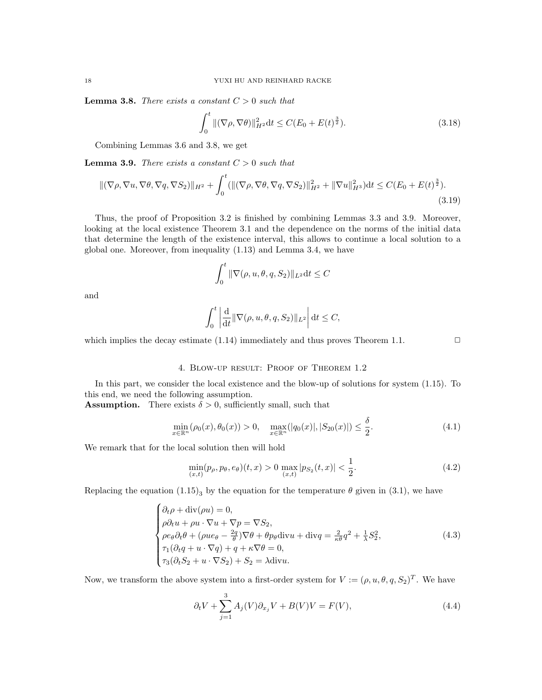**Lemma 3.8.** There exists a constant  $C > 0$  such that

$$
\int_0^t \|(\nabla \rho, \nabla \theta)\|_{H^2}^2 dt \le C(E_0 + E(t)^{\frac{3}{2}}). \tag{3.18}
$$

Combining Lemmas 3.6 and 3.8, we get

**Lemma 3.9.** There exists a constant  $C > 0$  such that

$$
\|(\nabla \rho, \nabla u, \nabla \theta, \nabla q, \nabla S_2)\|_{H^2} + \int_0^t (\|(\nabla \rho, \nabla \theta, \nabla q, \nabla S_2)\|_{H^2}^2 + \|\nabla u\|_{H^3}^2) dt \le C(E_0 + E(t)^{\frac{3}{2}}). \tag{3.19}
$$

Thus, the proof of Proposition 3.2 is finished by combining Lemmas 3.3 and 3.9. Moreover, looking at the local existence Theorem 3.1 and the dependence on the norms of the initial data that determine the length of the existence interval, this allows to continue a local solution to a global one. Moreover, from inequality (1.13) and Lemma 3.4, we have

$$
\int_0^t \|\nabla(\rho, u, \theta, q, S_2)\|_{L^2} dt \le C
$$

and

$$
\int_0^t \left| \frac{\mathrm{d}}{\mathrm{d}t} \|\nabla(\rho, u, \theta, q, S_2)\|_{L^2} \right| \mathrm{d}t \le C,
$$

which implies the decay estimate  $(1.14)$  immediately and thus proves Theorem 1.1.  $\Box$ 

#### 4. Blow-up result: Proof of Theorem 1.2

In this part, we consider the local existence and the blow-up of solutions for system (1.15). To this end, we need the following assumption.

**Assumption.** There exists  $\delta > 0$ , sufficiently small, such that

$$
\min_{x \in \mathbb{R}^n} (\rho_0(x), \theta_0(x)) > 0, \quad \max_{x \in \mathbb{R}^n} (|q_0(x)|, |S_{20}(x)|) \le \frac{\sigma}{2}.
$$
\n(4.1)

We remark that for the local solution then will hold

$$
\min_{(x,t)} (p_{\rho}, p_{\theta}, e_{\theta})(t, x) > 0 \max_{(x,t)} |p_{S_2}(t, x)| < \frac{1}{2}.
$$
\n(4.2)

δ

Replacing the equation  $(1.15)_{3}$  by the equation for the temperature  $\theta$  given in (3.1), we have

$$
\begin{cases}\n\partial_t \rho + \text{div}(\rho u) = 0, \\
\rho \partial_t u + \rho u \cdot \nabla u + \nabla p = \nabla S_2, \\
\rho e_\theta \partial_t \theta + (\rho u e_\theta - \frac{2q}{g}) \nabla \theta + \theta p_\theta \text{div} u + \text{div} q = \frac{2}{\kappa \theta} q^2 + \frac{1}{\lambda} S_2^2, \\
\tau_1 (\partial_t q + u \cdot \nabla q) + q + \kappa \nabla \theta = 0, \\
\tau_3 (\partial_t S_2 + u \cdot \nabla S_2) + S_2 = \lambda \text{div} u.\n\end{cases} \tag{4.3}
$$

Now, we transform the above system into a first-order system for  $V := (\rho, u, \theta, q, S_2)^T$ . We have

$$
\partial_t V + \sum_{j=1}^3 A_j(V) \partial_{x_j} V + B(V)V = F(V),\tag{4.4}
$$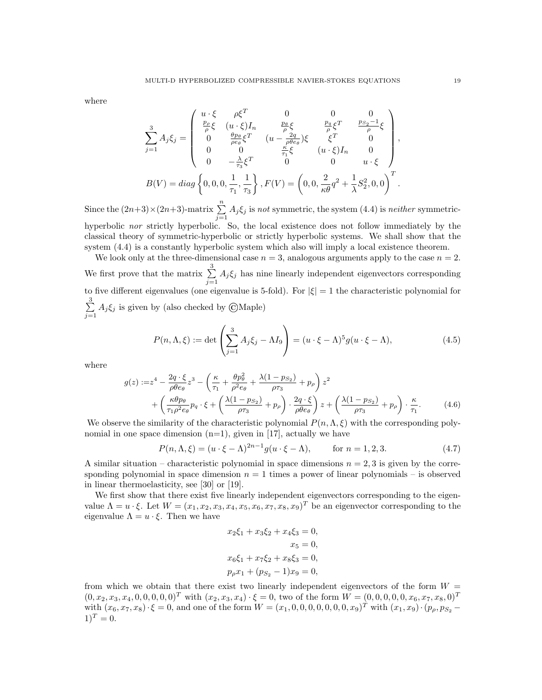where

$$
\sum_{j=1}^{3} A_{j} \xi_{j} = \begin{pmatrix} u \cdot \xi & \rho \xi^{T} & 0 & 0 & 0 \\ \frac{p_{\rho}}{\rho} \xi & (u \cdot \xi) I_{n} & \frac{p_{\theta}}{\rho} \xi & \frac{p_{q}}{\rho} \xi^{T} & \frac{p_{s_{2}} - 1}{\rho} \xi \\ 0 & \frac{p_{\theta}}{\rho e_{\theta}} \xi^{T} & (u - \frac{2q}{\rho \theta e_{\theta}}) \xi & \xi^{T} & 0 \\ 0 & 0 & \frac{\kappa}{\tau_{1}} \xi & (u \cdot \xi) I_{n} & 0 \\ 0 & -\frac{\lambda}{\tau_{3}} \xi^{T} & 0 & 0 & u \cdot \xi \end{pmatrix},
$$
  
\n
$$
B(V) = diag\left\{0, 0, 0, \frac{1}{\tau_{1}}, \frac{1}{\tau_{3}}\right\}, F(V) = \left(0, 0, \frac{2}{\kappa \theta} q^{2} + \frac{1}{\lambda} S_{2}^{2}, 0, 0\right)^{T}.
$$

Since the  $(2n+3)\times(2n+3)$ -matrix  $\sum_{n=1}^{\infty}$  $\sum_{j=1} A_j \xi_j$  is not symmetric, the system (4.4) is neither symmetrichyperbolic nor strictly hyperbolic. So, the local existence does not follow immediately by the classical theory of symmetric-hyperbolic or strictly hyperbolic systems. We shall show that the system  $(4.4)$  is a constantly hyperbolic system which also will imply a local existence theorem.

We look only at the three-dimensional case  $n = 3$ , analogous arguments apply to the case  $n = 2$ . We first prove that the matrix  $\sum_{n=1}^3$  $\sum_{j=1} A_j \xi_j$  has nine linearly independent eigenvectors corresponding to five different eigenvalues (one eigenvalue is 5-fold). For  $|\xi|=1$  the characteristic polynomial for  $\sum_{ }^{3}$  $\sum_{j=1} A_j \xi_j$  is given by (also checked by ©Maple)

$$
P(n,\Lambda,\xi) := \det\left(\sum_{j=1}^3 A_j \xi_j - \Lambda I_9\right) = (u \cdot \xi - \Lambda)^5 g(u \cdot \xi - \Lambda),\tag{4.5}
$$

where

$$
g(z) := z4 - \frac{2q \cdot \xi}{\rho \theta e_{\theta}} z3 - \left(\frac{\kappa}{\tau_{1}} + \frac{\theta p_{\theta}^{2}}{\rho^{2} e_{\theta}} + \frac{\lambda (1 - p_{S_{2}})}{\rho \tau_{3}} + p_{\rho}\right) z^{2} + \left(\frac{\kappa \theta p_{\theta}}{\tau_{1} \rho^{2} e_{\theta}} p_{q} \cdot \xi + \left(\frac{\lambda (1 - p_{S_{2}})}{\rho \tau_{3}} + p_{\rho}\right) \cdot \frac{2q \cdot \xi}{\rho \theta e_{\theta}}\right) z + \left(\frac{\lambda (1 - p_{S_{2}})}{\rho \tau_{3}} + p_{\rho}\right) \cdot \frac{\kappa}{\tau_{1}}.
$$
(4.6)

We observe the similarity of the characteristic polynomial  $P(n,\Lambda,\xi)$  with the corresponding polynomial in one space dimension  $(n=1)$ , given in [17], actually we have

$$
P(n, \Lambda, \xi) = (u \cdot \xi - \Lambda)^{2n-1} g(u \cdot \xi - \Lambda), \quad \text{for } n = 1, 2, 3. \tag{4.7}
$$

A similar situation – characteristic polynomial in space dimensions  $n = 2, 3$  is given by the corresponding polynomial in space dimension  $n = 1$  times a power of linear polynomials – is observed in linear thermoelasticity, see [30] or [19].

We first show that there exist five linearly independent eigenvectors corresponding to the eigenvalue  $\Lambda = u \cdot \xi$ . Let  $W = (x_1, x_2, x_3, x_4, x_5, x_6, x_7, x_8, x_9)^T$  be an eigenvector corresponding to the eigenvalue  $\Lambda = u \cdot \xi$ . Then we have

$$
x_2\xi_1 + x_3\xi_2 + x_4\xi_3 = 0,
$$
  
\n
$$
x_5 = 0,
$$
  
\n
$$
x_6\xi_1 + x_7\xi_2 + x_8\xi_3 = 0,
$$
  
\n
$$
p_\rho x_1 + (p_{S_2} - 1)x_9 = 0,
$$

from which we obtain that there exist two linearly independent eigenvectors of the form  $W =$  $(0, x_2, x_3, x_4, 0, 0, 0, 0, 0)^T$  with  $(x_2, x_3, x_4) \cdot \xi = 0$ , two of the form  $W = (0, 0, 0, 0, 0, x_6, x_7, x_8, 0)^T$ with  $(x_6, x_7, x_8) \cdot \xi = 0$ , and one of the form  $W = (x_1, 0, 0, 0, 0, 0, 0, 0, x_9)^T$  with  $(x_1, x_9) \cdot (p_\rho, p_{S_2} - p_\rho)$  $1)^{T} = 0.$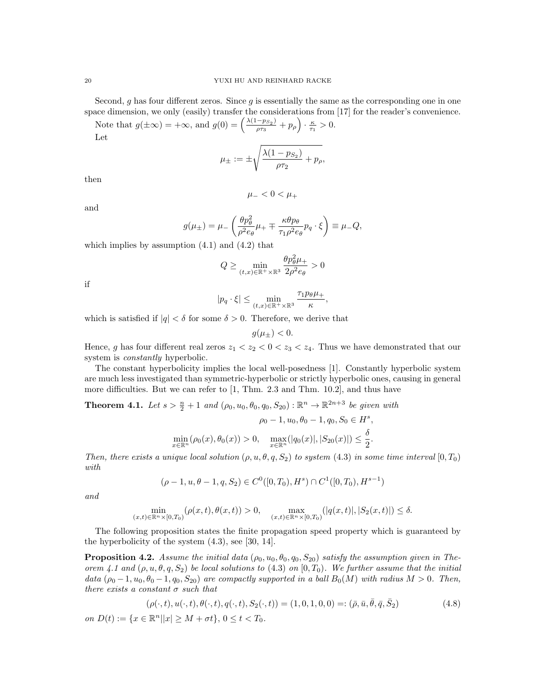Second, g has four different zeros. Since g is essentially the same as the corresponding one in one space dimension, we only (easily) transfer the considerations from [17] for the reader's convenience.

Note that  $g(\pm \infty) = +\infty$ , and  $g(0) = \left(\frac{\lambda(1-p_{S_2})}{2\pi\epsilon}\right)$  $\frac{-p_{S_2}}{\rho \tau_3}+p_\rho\Big)\cdot \frac{\kappa}{\tau_1}>0.$ Let

$$
\mu_{\pm} := \pm \sqrt{\frac{\lambda (1 - p_{S_2})}{\rho \tau_2} + p_{\rho}},
$$

then

and

$$
\mu_-<0<\mu_+
$$

$$
g(\mu_{\pm}) = \mu_{-} \left( \frac{\theta p_{\theta}^{2}}{\rho^{2} e_{\theta}} \mu_{+} \mp \frac{\kappa \theta p_{\theta}}{\tau_{1} \rho^{2} e_{\theta}} p_{q} \cdot \xi \right) \equiv \mu_{-} Q,
$$

which implies by assumption  $(4.1)$  and  $(4.2)$  that

$$
Q \geq \min_{(t,x) \in \mathbb{R}^+ \times \mathbb{R}^3} \frac{\theta p_\theta^2 \mu_+}{2\rho^2 e_\theta} > 0
$$

if

$$
|p_q \cdot \xi| \le \min_{(t,x)\in \mathbb{R}^+\times \mathbb{R}^3} \frac{\tau_1 p_\theta \mu_+}{\kappa},
$$

which is satisfied if  $|q| < \delta$  for some  $\delta > 0$ . Therefore, we derive that

$$
g(\mu_{\pm})<0.
$$

Hence, g has four different real zeros  $z_1 < z_2 < 0 < z_3 < z_4$ . Thus we have demonstrated that our system is *constantly* hyperbolic.

The constant hyperbolicity implies the local well-posedness [1]. Constantly hyperbolic system are much less investigated than symmetric-hyperbolic or strictly hyperbolic ones, causing in general more difficulties. But we can refer to [1, Thm. 2.3 and Thm. 10.2], and thus have

**Theorem 4.1.** Let  $s > \frac{n}{2} + 1$  and  $(\rho_0, u_0, \theta_0, q_0, S_{20}) : \mathbb{R}^n \to \mathbb{R}^{2n+3}$  be given with

$$
\rho_0 - 1, u_0, \theta_0 - 1, q_0, S_0 \in H^s,
$$
  

$$
\min_{x \in \mathbb{R}^n} (\rho_0(x), \theta_0(x)) > 0, \quad \max_{x \in \mathbb{R}^n} (|q_0(x)|, |S_{20}(x)|) \le \frac{\delta}{2}.
$$

Then, there exists a unique local solution  $(\rho, u, \theta, q, S_2)$  to system  $(4.3)$  in some time interval  $[0, T_0)$ with

$$
(\rho - 1, u, \theta - 1, q, S_2) \in C^0([0, T_0), H^s) \cap C^1([0, T_0), H^{s-1})
$$

and

$$
\min_{(x,t)\in\mathbb{R}^n\times[0,T_0)}(\rho(x,t),\theta(x,t))>0,\quad\max_{(x,t)\in\mathbb{R}^n\times[0,T_0)}(|q(x,t)|,|S_2(x,t)|)\leq\delta.
$$

The following proposition states the finite propagation speed property which is guaranteed by the hyperbolicity of the system  $(4.3)$ , see [30, 14].

**Proposition 4.2.** Assume the initial data  $(\rho_0, u_0, \theta_0, q_0, S_{20})$  satisfy the assumption given in Theorem 4.1 and  $(\rho, u, \theta, q, S_2)$  be local solutions to  $(4.3)$  on  $[0, T_0)$ . We further assume that the initial data  $(\rho_0 - 1, u_0, \theta_0 - 1, q_0, S_{20})$  are compactly supported in a ball  $B_0(M)$  with radius  $M > 0$ . Then, there exists a constant  $\sigma$  such that

$$
(\rho(\cdot, t), u(\cdot, t), \theta(\cdot, t), q(\cdot, t), S_2(\cdot, t)) = (1, 0, 1, 0, 0) =: (\bar{\rho}, \bar{u}, \bar{\theta}, \bar{q}, \bar{S}_2)
$$
(4.8)

on  $D(t) := \{x \in \mathbb{R}^n | |x| \ge M + \sigma t\}, 0 \le t < T_0.$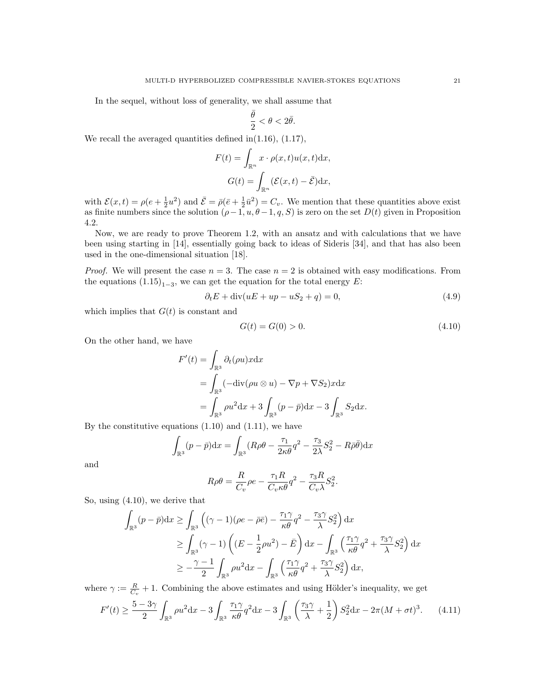In the sequel, without loss of generality, we shall assume that

$$
\frac{\bar{\theta}}{2} < \theta < 2\bar{\theta}.
$$

We recall the averaged quantities defined in $(1.16)$ ,  $(1.17)$ ,

$$
F(t) = \int_{\mathbb{R}^n} x \cdot \rho(x, t) u(x, t) dx,
$$

$$
G(t) = \int_{\mathbb{R}^n} (\mathcal{E}(x, t) - \bar{\mathcal{E}}) dx,
$$

with  $\mathcal{E}(x,t) = \rho(e + \frac{1}{2}u^2)$  and  $\bar{\mathcal{E}} = \bar{\rho}(\bar{e} + \frac{1}{2}\bar{u}^2) = C_v$ . We mention that these quantities above exist as finite numbers since the solution  $(\rho-1, u, \theta-1, q, S)$  is zero on the set  $D(t)$  given in Proposition 4.2.

Now, we are ready to prove Theorem 1.2, with an ansatz and with calculations that we have been using starting in [14], essentially going back to ideas of Sideris [34], and that has also been used in the one-dimensional situation [18].

*Proof.* We will present the case  $n = 3$ . The case  $n = 2$  is obtained with easy modifications. From the equations  $(1.15)_{1-3}$ , we can get the equation for the total energy E:

$$
\partial_t E + \operatorname{div}(uE + up - uS_2 + q) = 0,\tag{4.9}
$$

which implies that  $G(t)$  is constant and

$$
G(t) = G(0) > 0.
$$
\n(4.10)

On the other hand, we have

$$
F'(t) = \int_{\mathbb{R}^3} \partial_t (\rho u) x \, dx
$$
  
= 
$$
\int_{\mathbb{R}^3} (-\text{div}(\rho u \otimes u) - \nabla p + \nabla S_2) x \, dx
$$
  
= 
$$
\int_{\mathbb{R}^3} \rho u^2 \, dx + 3 \int_{\mathbb{R}^3} (p - \bar{p}) \, dx - 3 \int_{\mathbb{R}^3} S_2 \, dx.
$$

By the constitutive equations  $(1.10)$  and  $(1.11)$ , we have

$$
\int_{\mathbb{R}^3} (p - \bar{p}) dx = \int_{\mathbb{R}^3} (R\rho \theta - \frac{\tau_1}{2\kappa \theta} q^2 - \frac{\tau_3}{2\lambda} S_2^2 - R\bar{\rho} \bar{\theta}) dx
$$

and

$$
R\rho\theta = \frac{R}{C_v}\rho e - \frac{\tau_1 R}{C_v \kappa \theta}q^2 - \frac{\tau_3 R}{C_v \lambda}S_2^2.
$$

So, using (4.10), we derive that

$$
\int_{\mathbb{R}^3} (p - \bar{p}) dx \ge \int_{\mathbb{R}^3} \left( (\gamma - 1)(\rho e - \bar{\rho} \bar{e}) - \frac{\tau_1 \gamma}{\kappa \theta} q^2 - \frac{\tau_3 \gamma}{\lambda} S_2^2 \right) dx
$$
  
\n
$$
\ge \int_{\mathbb{R}^3} (\gamma - 1) \left( (E - \frac{1}{2}\rho u^2) - \bar{E} \right) dx - \int_{\mathbb{R}^3} \left( \frac{\tau_1 \gamma}{\kappa \theta} q^2 + \frac{\tau_3 \gamma}{\lambda} S_2^2 \right) dx
$$
  
\n
$$
\ge -\frac{\gamma - 1}{2} \int_{\mathbb{R}^3} \rho u^2 dx - \int_{\mathbb{R}^3} \left( \frac{\tau_1 \gamma}{\kappa \theta} q^2 + \frac{\tau_3 \gamma}{\lambda} S_2^2 \right) dx,
$$

where  $\gamma := \frac{R}{C_v} + 1$ . Combining the above estimates and using Hölder's inequality, we get

$$
F'(t) \ge \frac{5-3\gamma}{2} \int_{\mathbb{R}^3} \rho u^2 dx - 3 \int_{\mathbb{R}^3} \frac{\tau_1 \gamma}{\kappa \theta} q^2 dx - 3 \int_{\mathbb{R}^3} \left( \frac{\tau_3 \gamma}{\lambda} + \frac{1}{2} \right) S_2^2 dx - 2\pi (M + \sigma t)^3. \tag{4.11}
$$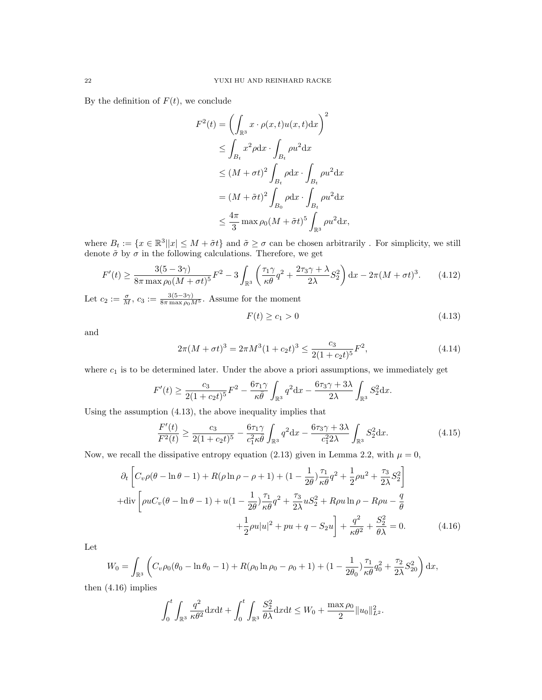By the definition of  $F(t)$ , we conclude

$$
F^{2}(t) = \left(\int_{\mathbb{R}^{3}} x \cdot \rho(x, t)u(x, t) dx\right)^{2}
$$
  
\n
$$
\leq \int_{B_{t}} x^{2} \rho dx \cdot \int_{B_{t}} \rho u^{2} dx
$$
  
\n
$$
\leq (M + \sigma t)^{2} \int_{B_{t}} \rho dx \cdot \int_{B_{t}} \rho u^{2} dx
$$
  
\n
$$
= (M + \tilde{\sigma}t)^{2} \int_{B_{0}} \rho dx \cdot \int_{B_{t}} \rho u^{2} dx
$$
  
\n
$$
\leq \frac{4\pi}{3} \max \rho_{0} (M + \tilde{\sigma}t)^{5} \int_{\mathbb{R}^{3}} \rho u^{2} dx,
$$

where  $B_t := \{x \in \mathbb{R}^3 | |x| \leq M + \tilde{\sigma}t\}$  and  $\tilde{\sigma} \geq \sigma$  can be chosen arbitrarily. For simplicity, we still denote  $\tilde{\sigma}$  by  $\sigma$  in the following calculations. Therefore, we get

$$
F'(t) \ge \frac{3(5-3\gamma)}{8\pi \max \rho_0 (M+\sigma t)^5} F^2 - 3 \int_{\mathbb{R}^3} \left( \frac{\tau_1 \gamma}{\kappa \theta} q^2 + \frac{2\tau_3 \gamma + \lambda}{2\lambda} S_2^2 \right) dx - 2\pi (M+\sigma t)^3. \tag{4.12}
$$

Let  $c_2 := \frac{\sigma}{M}$ ,  $c_3 := \frac{3(5-3\gamma)}{8\pi \max \rho_0 M^5}$ . Assume for the moment

$$
F(t) \ge c_1 > 0 \tag{4.13}
$$

and

$$
2\pi (M + \sigma t)^3 = 2\pi M^3 (1 + c_2 t)^3 \le \frac{c_3}{2(1 + c_2 t)^5} F^2,
$$
\n(4.14)

where  $c_1$  is to be determined later. Under the above a priori assumptions, we immediately get

$$
F'(t) \ge \frac{c_3}{2(1+c_2t)^5}F^2 - \frac{6\tau_1\gamma}{\kappa\bar{\theta}}\int_{\mathbb{R}^3} q^2 dx - \frac{6\tau_3\gamma + 3\lambda}{2\lambda}\int_{\mathbb{R}^3} S_2^2 dx.
$$

Using the assumption (4.13), the above inequality implies that

$$
\frac{F'(t)}{F^2(t)} \ge \frac{c_3}{2(1+c_2t)^5} - \frac{6\tau_1\gamma}{c_1^2\kappa\bar{\theta}} \int_{\mathbb{R}^3} q^2 dx - \frac{6\tau_3\gamma + 3\lambda}{c_1^2\lambda} \int_{\mathbb{R}^3} S_2^2 dx.
$$
 (4.15)

Now, we recall the dissipative entropy equation (2.13) given in Lemma 2.2, with  $\mu = 0$ ,

$$
\partial_t \left[ C_v \rho (\theta - \ln \theta - 1) + R(\rho \ln \rho - \rho + 1) + (1 - \frac{1}{2\theta}) \frac{\tau_1}{\kappa \theta} q^2 + \frac{1}{2} \rho u^2 + \frac{\tau_3}{2\lambda} S_2^2 \right]
$$
  
+div  $\left[ \rho u C_v (\theta - \ln \theta - 1) + u (1 - \frac{1}{2\theta}) \frac{\tau_1}{\kappa \theta} q^2 + \frac{\tau_3}{2\lambda} u S_2^2 + R \rho u \ln \rho - R \rho u - \frac{q}{\theta} + \frac{1}{2} \rho u |u|^2 + p u + q - S_2 u \right] + \frac{q^2}{\kappa \theta^2} + \frac{S_2^2}{\theta \lambda} = 0.$  (4.16)

Let

$$
W_0 = \int_{\mathbb{R}^3} \left( C_v \rho_0 (\theta_0 - \ln \theta_0 - 1) + R(\rho_0 \ln \rho_0 - \rho_0 + 1) + (1 - \frac{1}{2\theta_0}) \frac{\tau_1}{\kappa \theta} q_0^2 + \frac{\tau_2}{2\lambda} S_{20}^2 \right) dx,
$$

then (4.16) implies

$$
\int_0^t \int_{\mathbb{R}^3} \frac{q^2}{\kappa \theta^2} dx dt + \int_0^t \int_{\mathbb{R}^3} \frac{S_2^2}{\theta \lambda} dx dt \le W_0 + \frac{\max \rho_0}{2} ||u_0||^2_{L^2}.
$$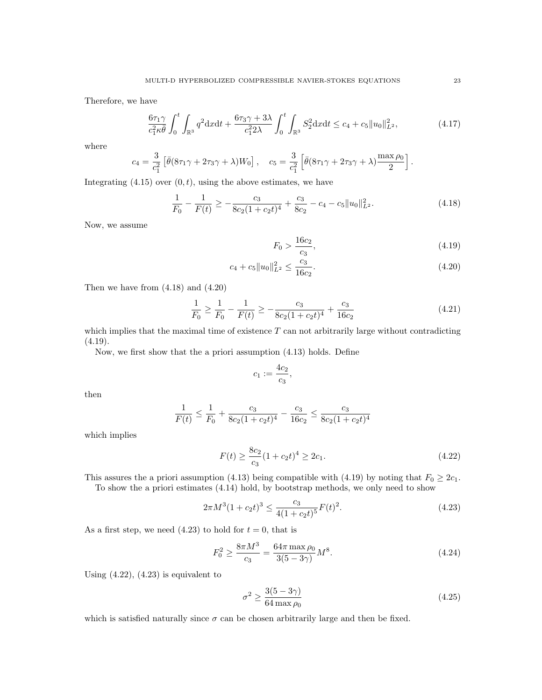Therefore, we have

$$
\frac{6\tau_1\gamma}{c_1^2\kappa\bar{\theta}}\int_0^t \int_{\mathbb{R}^3} q^2 \mathrm{d}x \mathrm{d}t + \frac{6\tau_3\gamma + 3\lambda}{c_1^2 2\lambda} \int_0^t \int_{\mathbb{R}^3} S_2^2 \mathrm{d}x \mathrm{d}t \le c_4 + c_5 \|u_0\|_{L^2}^2, \tag{4.17}
$$

where

$$
c_4 = \frac{3}{c_1^2} \left[ \bar{\theta} (8\tau_1 \gamma + 2\tau_3 \gamma + \lambda) W_0 \right], \quad c_5 = \frac{3}{c_1^2} \left[ \bar{\theta} (8\tau_1 \gamma + 2\tau_3 \gamma + \lambda) \frac{\max \rho_0}{2} \right].
$$

Integrating  $(4.15)$  over  $(0, t)$ , using the above estimates, we have

$$
\frac{1}{F_0} - \frac{1}{F(t)} \ge -\frac{c_3}{8c_2(1+c_2t)^4} + \frac{c_3}{8c_2} - c_4 - c_5 \|u_0\|_{L^2}^2.
$$
\n(4.18)

Now, we assume

$$
F_0 > \frac{16c_2}{c_3},\tag{4.19}
$$

$$
c_4 + c_5 \|u_0\|_{L^2}^2 \le \frac{c_3}{16c_2}.\tag{4.20}
$$

Then we have from (4.18) and (4.20)

$$
\frac{1}{F_0} \ge \frac{1}{F_0} - \frac{1}{F(t)} \ge -\frac{c_3}{8c_2(1+c_2t)^4} + \frac{c_3}{16c_2} \tag{4.21}
$$

which implies that the maximal time of existence  $T$  can not arbitrarily large without contradicting  $(4.19).$ 

Now, we first show that the a priori assumption (4.13) holds. Define

$$
c_1:=\frac{4c_2}{c_3},
$$

then

$$
\frac{1}{F(t)} \le \frac{1}{F_0} + \frac{c_3}{8c_2(1+c_2t)^4} - \frac{c_3}{16c_2} \le \frac{c_3}{8c_2(1+c_2t)^4}
$$

which implies

$$
F(t) \ge \frac{8c_2}{c_3} (1 + c_2 t)^4 \ge 2c_1.
$$
\n(4.22)

This assures the a priori assumption (4.13) being compatible with (4.19) by noting that  $F_0 \geq 2c_1$ .

To show the a priori estimates (4.14) hold, by bootstrap methods, we only need to show

$$
2\pi M^3 (1 + c_2 t)^3 \le \frac{c_3}{4(1 + c_2 t)^5} F(t)^2.
$$
\n(4.23)

As a first step, we need  $(4.23)$  to hold for  $t = 0$ , that is

$$
F_0^2 \ge \frac{8\pi M^3}{c_3} = \frac{64\pi \max \rho_0}{3(5-3\gamma)} M^8. \tag{4.24}
$$

Using  $(4.22)$ ,  $(4.23)$  is equivalent to

$$
\sigma^2 \ge \frac{3(5-3\gamma)}{64 \max \rho_0} \tag{4.25}
$$

which is satisfied naturally since  $\sigma$  can be chosen arbitrarily large and then be fixed.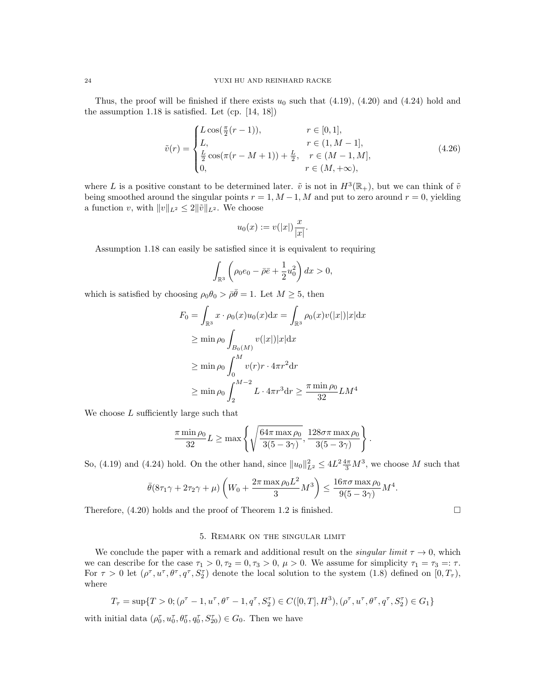Thus, the proof will be finished if there exists  $u_0$  such that (4.19), (4.20) and (4.24) hold and the assumption 1.18 is satisfied. Let (cp. [14, 18])

$$
\tilde{v}(r) = \begin{cases}\nL\cos(\frac{\pi}{2}(r-1)), & r \in [0,1], \\
L, & r \in (1, M-1], \\
\frac{L}{2}\cos(\pi(r-M+1)) + \frac{L}{2}, & r \in (M-1, M], \\
0, & r \in (M, +\infty),\n\end{cases}
$$
\n(4.26)

where L is a positive constant to be determined later.  $\tilde{v}$  is not in  $H^3(\mathbb{R}_+)$ , but we can think of  $\tilde{v}$ being smoothed around the singular points  $r = 1, M - 1, M$  and put to zero around  $r = 0$ , yielding a function v, with  $||v||_{L^2} \leq 2||\tilde{v}||_{L^2}$ . We choose

$$
u_0(x) := v(|x|) \frac{x}{|x|}.
$$

Assumption 1.18 can easily be satisfied since it is equivalent to requiring

$$
\int_{\mathbb{R}^3} \left( \rho_0 e_0 - \bar{\rho} \bar{e} + \frac{1}{2} u_0^2 \right) dx > 0,
$$

which is satisfied by choosing  $\rho_0 \theta_0 > \bar{\rho} \bar{\theta} = 1$ . Let  $M \geq 5$ , then

$$
F_0 = \int_{\mathbb{R}^3} x \cdot \rho_0(x) u_0(x) dx = \int_{\mathbb{R}^3} \rho_0(x) v(|x|) |x| dx
$$
  
\n
$$
\ge \min \rho_0 \int_{B_0(M)} v(|x|) |x| dx
$$
  
\n
$$
\ge \min \rho_0 \int_0^M v(r) r \cdot 4\pi r^2 dr
$$
  
\n
$$
\ge \min \rho_0 \int_2^{M-2} L \cdot 4\pi r^3 dr \ge \frac{\pi \min \rho_0}{32} LM^4
$$

We choose  $L$  sufficiently large such that

$$
\frac{\pi \min \rho_0}{32} L \ge \max \left\{ \sqrt{\frac{64\pi \max \rho_0}{3(5-3\gamma)}}, \frac{128\sigma \pi \max \rho_0}{3(5-3\gamma)} \right\}
$$

.

So, (4.19) and (4.24) hold. On the other hand, since  $||u_0||_{L^2}^2 \le 4L^2 \frac{4\pi}{3} M^3$ , we choose M such that

$$
\bar{\theta}(8\tau_1\gamma + 2\tau_2\gamma + \mu) \left(W_0 + \frac{2\pi \max \rho_0 L^2}{3} M^3\right) \le \frac{16\pi \sigma \max \rho_0}{9(5-3\gamma)} M^4.
$$

Therefore,  $(4.20)$  holds and the proof of Theorem 1.2 is finished.

#### 5. Remark on the singular limit

We conclude the paper with a remark and additional result on the *singular limit*  $\tau \to 0$ , which we can describe for the case  $\tau_1 > 0$ ,  $\tau_2 = 0$ ,  $\tau_3 > 0$ ,  $\mu > 0$ . We assume for simplicity  $\tau_1 = \tau_3 = \tau$ . For  $\tau > 0$  let  $(\rho^{\tau}, u^{\tau}, \theta^{\tau}, q^{\tau}, S_2^{\tau})$  denote the local solution to the system  $(1.8)$  defined on  $[0, T_{\tau})$ , where

$$
T_{\tau} = \sup \{ T > 0; (\rho^{\tau} - 1, u^{\tau}, \theta^{\tau} - 1, q^{\tau}, S_2^{\tau}) \in C([0, T], H^3), (\rho^{\tau}, u^{\tau}, \theta^{\tau}, q^{\tau}, S_2^{\tau}) \in G_1 \}
$$

with initial data  $(\rho_0^{\tau}, u_0^{\tau}, \theta_0^{\tau}, q_0^{\tau}, S_{20}^{\tau}) \in G_0$ . Then we have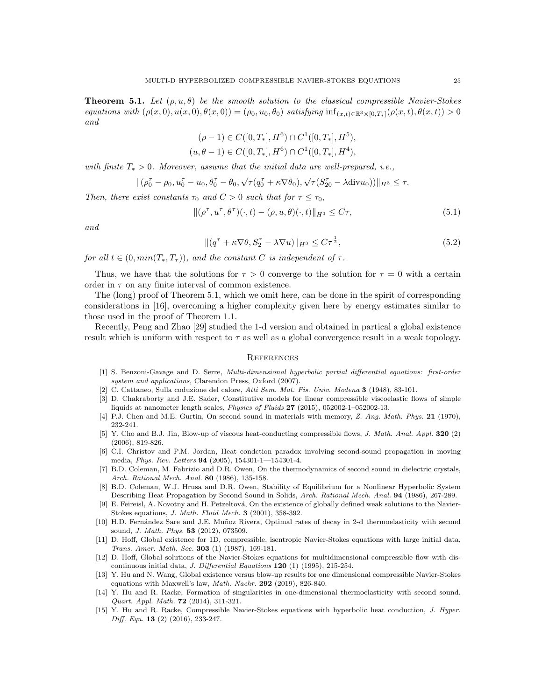**Theorem 5.1.** Let  $(\rho, u, \theta)$  be the smooth solution to the classical compressible Navier-Stokes equations with  $(\rho(x, 0), u(x, 0), \theta(x, 0)) = (\rho_0, u_0, \theta_0)$  satisfying  $\inf_{(x,t) \in \mathbb{R}^3 \times [0,T_*]} (\rho(x,t), \theta(x,t)) > 0$ and

$$
(\rho - 1) \in C([0, T_*], H^6) \cap C^1([0, T_*], H^5),
$$
  

$$
(u, \theta - 1) \in C([0, T_*], H^6) \cap C^1([0, T_*], H^4),
$$

with finite  $T_* > 0$ . Moreover, assume that the initial data are well-prepared, i.e.,

$$
\|(\rho_0^{\tau}-\rho_0, u_0^{\tau}-u_0, \theta_0^{\tau}-\theta_0, \sqrt{\tau}(q_0^{\tau}+\kappa\nabla\theta_0), \sqrt{\tau}(S_{20}^{\tau}-\lambda \text{div}u_0))\|_{H^3}\leq \tau.
$$

Then, there exist constants  $\tau_0$  and  $C > 0$  such that for  $\tau \leq \tau_0$ ,

$$
\|(\rho^\tau, u^\tau, \theta^\tau)(\cdot, t) - (\rho, u, \theta)(\cdot, t)\|_{H^3} \le C\tau,
$$
\n(5.1)

and

$$
\|(q^{\tau} + \kappa \nabla \theta, S_2^{\tau} - \lambda \nabla u)\|_{H^3} \le C\tau^{\frac{1}{2}},\tag{5.2}
$$

for all  $t \in (0, min(T_*, T_\tau))$ , and the constant C is independent of  $\tau$ .

Thus, we have that the solutions for  $\tau > 0$  converge to the solution for  $\tau = 0$  with a certain order in  $\tau$  on any finite interval of common existence.

The (long) proof of Theorem 5.1, which we omit here, can be done in the spirit of corresponding considerations in [16], overcoming a higher complexity given here by energy estimates similar to those used in the proof of Theorem 1.1.

Recently, Peng and Zhao [29] studied the 1-d version and obtained in partical a global existence result which is uniform with respect to  $\tau$  as well as a global convergence result in a weak topology.

#### **REFERENCES**

- [1] S. Benzoni-Gavage and D. Serre, Multi-dimensional hyperbolic partial differential equations: first-order system and applications, Clarendon Press, Oxford (2007).
- [2] C. Cattaneo, Sulla coduzione del calore, Atti Sem. Mat. Fis. Univ. Modena 3 (1948), 83-101.
- [3] D. Chakraborty and J.E. Sader, Constitutive models for linear compressible viscoelastic flows of simple liquids at nanometer length scales, Physics of Fluids 27 (2015), 052002-1–052002-13.
- [4] P.J. Chen and M.E. Gurtin, On second sound in materials with memory, Z. Ang. Math. Phys. 21 (1970), 232-241.
- [5] Y. Cho and B.J. Jin, Blow-up of viscous heat-conducting compressible flows, *J. Math. Anal. Appl.* **320** (2) (2006), 819-826.
- [6] C.I. Christov and P.M. Jordan, Heat condction paradox involving second-sound propagation in moving media, Phys. Rev. Letters 94 (2005), 154301-1—154301-4.
- [7] B.D. Coleman, M. Fabrizio and D.R. Owen, On the thermodynamics of second sound in dielectric crystals, Arch. Rational Mech. Anal. 80 (1986), 135-158.
- [8] B.D. Coleman, W.J. Hrusa and D.R. Owen, Stability of Equilibrium for a Nonlinear Hyperbolic System Describing Heat Propagation by Second Sound in Solids, Arch. Rational Mech. Anal. 94 (1986), 267-289.
- E. Feireisl, A. Novotny and H. Petzeltová, On the existence of globally defined weak solutions to the Navier-Stokes equations, J. Math. Fluid Mech. 3 (2001), 358-392.
- [10] H.D. Fernández Sare and J.E. Muñoz Rivera, Optimal rates of decay in 2-d thermoelasticity with second sound, J. Math. Phys. 53 (2012), 073509.
- [11] D. Hoff, Global existence for 1D, compressible, isentropic Navier-Stokes equations with large initial data, Trans. Amer. Math. Soc. 303 (1) (1987), 169-181.
- [12] D. Hoff, Global solutions of the Navier-Stokes equations for multidimensional compressible flow with discontinuous initial data, J. Differential Equations  $120$  (1) (1995), 215-254.
- [13] Y. Hu and N. Wang, Global existence versus blow-up results for one dimensional compressible Navier-Stokes equations with Maxwell's law, Math. Nachr. 292 (2019), 826-840.
- [14] Y. Hu and R. Racke, Formation of singularities in one-dimensional thermoelasticity with second sound. Quart. Appl. Math. 72 (2014), 311-321.
- [15] Y. Hu and R. Racke, Compressible Navier-Stokes equations with hyperbolic heat conduction, J. Hyper. Diff. Equ. 13 (2) (2016), 233-247.